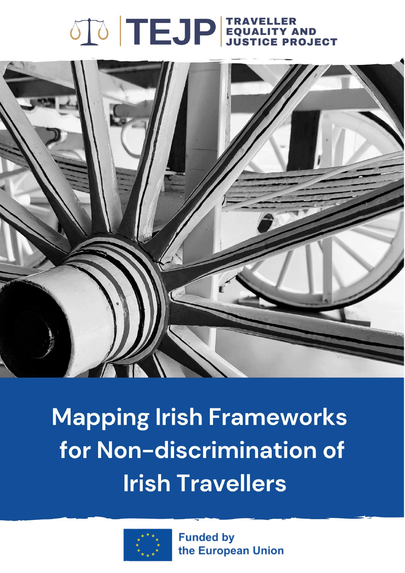# 



Mapping Irish Frameworks for Non-discrimination of **Irish Travellers** 



**Funded by** the European Union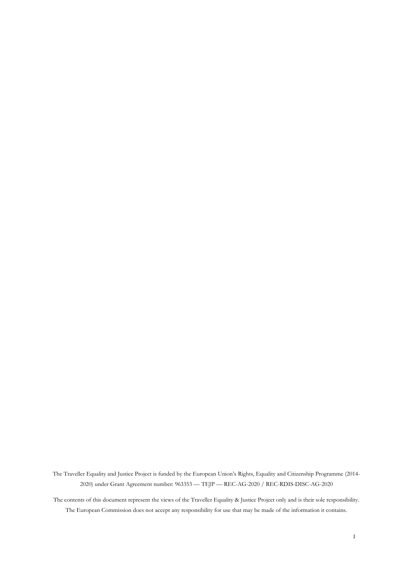The Traveller Equality and Justice Project is funded by the European Union's Rights, Equality and Citizenship Programme (2014- 2020) under Grant Agreement number: 963353 — TEJP — REC-AG-2020 / REC-RDIS-DISC-AG-2020

The contents of this document represent the views of the Traveller Equality & Justice Project only and is their sole responsibility. The European Commission does not accept any responsibility for use that may be made of the information it contains.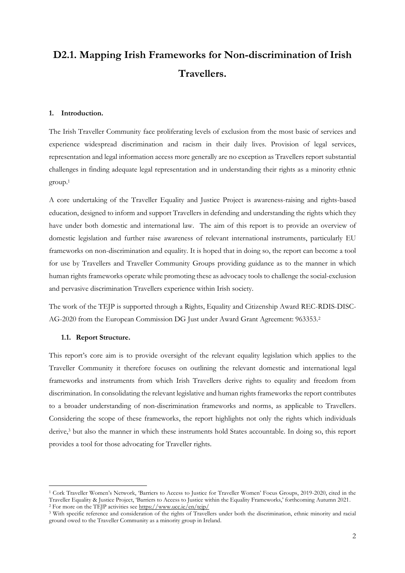# **D2.1. Mapping Irish Frameworks for Non-discrimination of Irish Travellers.**

#### **1. Introduction.**

The Irish Traveller Community face proliferating levels of exclusion from the most basic of services and experience widespread discrimination and racism in their daily lives. Provision of legal services, representation and legal information access more generally are no exception as Travellers report substantial challenges in finding adequate legal representation and in understanding their rights as a minority ethnic group.<sup>1</sup>

A core undertaking of the Traveller Equality and Justice Project is awareness-raising and rights-based education, designed to inform and support Travellers in defending and understanding the rights which they have under both domestic and international law. The aim of this report is to provide an overview of domestic legislation and further raise awareness of relevant international instruments, particularly EU frameworks on non-discrimination and equality. It is hoped that in doing so, the report can become a tool for use by Travellers and Traveller Community Groups providing guidance as to the manner in which human rights frameworks operate while promoting these as advocacy tools to challenge the social-exclusion and pervasive discrimination Travellers experience within Irish society.

The work of the TEJP is supported through a Rights, Equality and Citizenship Award REC-RDIS-DISC-AG-2020 from the European Commission DG Just under Award Grant Agreement: 963353.<sup>2</sup>

#### **1.1. Report Structure.**

This report's core aim is to provide oversight of the relevant equality legislation which applies to the Traveller Community it therefore focuses on outlining the relevant domestic and international legal frameworks and instruments from which Irish Travellers derive rights to equality and freedom from discrimination. In consolidating the relevant legislative and human rights frameworks the report contributes to a broader understanding of non-discrimination frameworks and norms, as applicable to Travellers. Considering the scope of these frameworks, the report highlights not only the rights which individuals derive, <sup>3</sup> but also the manner in which these instruments hold States accountable. In doing so, this report provides a tool for those advocating for Traveller rights.

<sup>1</sup> Cork Traveller Women's Network, 'Barriers to Access to Justice for Traveller Women' Focus Groups, 2019-2020, cited in the Traveller Equality & Justice Project, 'Barriers to Access to Justice within the Equality Frameworks,' forthcoming Autumn 2021. <sup>2</sup> For more on the TEJP activities see<https://www.ucc.ie/en/tejp/>

<sup>3</sup> With specific reference and consideration of the rights of Travellers under both the discrimination, ethnic minority and racial ground owed to the Traveller Community as a minority group in Ireland.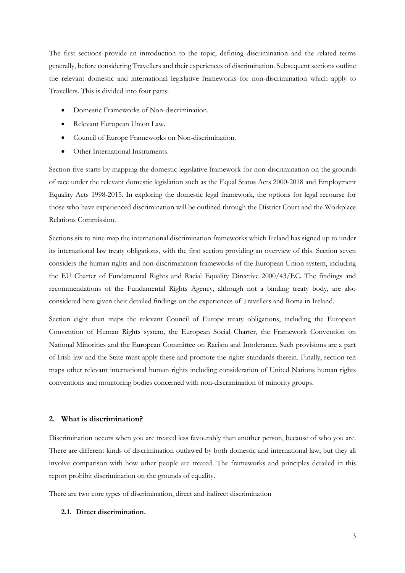The first sections provide an introduction to the topic, defining discrimination and the related terms generally, before considering Travellers and their experiences of discrimination. Subsequent sections outline the relevant domestic and international legislative frameworks for non-discrimination which apply to Travellers. This is divided into four parts:

- Domestic Frameworks of Non-discrimination.
- Relevant European Union Law.
- Council of Europe Frameworks on Non-discrimination.
- Other International Instruments.

Section five starts by mapping the domestic legislative framework for non-discrimination on the grounds of race under the relevant domestic legislation such as the Equal Status Acts 2000-2018 and Employment Equality Acts 1998-2015. In exploring the domestic legal framework, the options for legal recourse for those who have experienced discrimination will be outlined through the District Court and the Workplace Relations Commission.

Sections six to nine map the international discrimination frameworks which Ireland has signed up to under its international law treaty obligations, with the first section providing an overview of this. Section seven considers the human rights and non-discrimination frameworks of the European Union system, including the EU Charter of Fundamental Rights and Racial Equality Directive 2000/43/EC. The findings and recommendations of the Fundamental Rights Agency, although not a binding treaty body, are also considered here given their detailed findings on the experiences of Travellers and Roma in Ireland.

Section eight then maps the relevant Council of Europe treaty obligations, including the European Convention of Human Rights system, the European Social Charter, the Framework Convention on National Minorities and the European Committee on Racism and Intolerance. Such provisions are a part of Irish law and the State must apply these and promote the rights standards therein. Finally, section ten maps other relevant international human rights including consideration of United Nations human rights conventions and monitoring bodies concerned with non-discrimination of minority groups.

# **2. What is discrimination?**

Discrimination occurs when you are treated less favourably than another person, because of who you are. There are different kinds of discrimination outlawed by both domestic and international law, but they all involve comparison with how other people are treated. The frameworks and principles detailed in this report prohibit discrimination on the grounds of equality.

There are two core types of discrimination, direct and indirect discrimination

### **2.1. Direct discrimination.**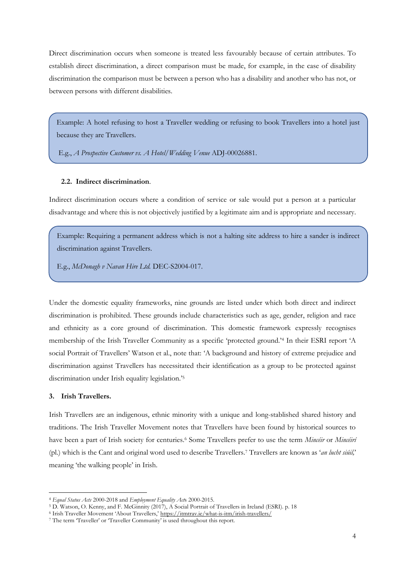Direct discrimination occurs when someone is treated less favourably because of certain attributes. To establish direct discrimination, a direct comparison must be made, for example, in the case of disability discrimination the comparison must be between a person who has a disability and another who has not, or between persons with different disabilities.

Example: A hotel refusing to host a Traveller wedding or refusing to book Travellers into a hotel just because they are Travellers.

E.g., *A Prospective Customer vs. A Hotel/Wedding Venue* ADJ-00026881.

#### **2.2. Indirect discrimination**.

Indirect discrimination occurs where a condition of service or sale would put a person at a particular disadvantage and where this is not objectively justified by a legitimate aim and is appropriate and necessary.

Example: Requiring a permanent address which is not a halting site address to hire a sander is indirect discrimination against Travellers.

E.g., *McDonagh v Navan Hire Ltd.* DEC-S2004-017.

Under the domestic equality frameworks, nine grounds are listed under which both direct and indirect discrimination is prohibited. These grounds include characteristics such as age, gender, religion and race and ethnicity as a core ground of discrimination. This domestic framework expressly recognises membership of the Irish Traveller Community as a specific 'protected ground.'<sup>4</sup> In their ESRI report 'A social Portrait of Travellers' Watson et al., note that: 'A background and history of extreme prejudice and discrimination against Travellers has necessitated their identification as a group to be protected against discrimination under Irish equality legislation.'<sup>5</sup>

#### **3. Irish Travellers.**

Irish Travellers are an indigenous, ethnic minority with a unique and long-stablished shared history and traditions. The Irish Traveller Movement notes that Travellers have been found by historical sources to have been a part of Irish society for centuries.<sup>6</sup> Some Travellers prefer to use the term *Mincéir* or *Mincéirí*  (pl.) which is the Cant and original word used to describe Travellers.<sup>7</sup> Travellers are known as '*an lucht siúil,*' meaning 'the walking people' in Irish.

<sup>4</sup> *Equal Status Acts* 2000-2018 and *Employment Equality Act*s 2000-2015.

<sup>5</sup> D. Watson, O. Kenny, and F. McGinnity (2017), A Social Portrait of Travellers in Ireland (ESRI). p. 18

<sup>6</sup> Irish Traveller Movement 'About Travellers,' <https://itmtrav.ie/what-is-itm/irish-travellers/>

<sup>7</sup> The term 'Traveller' or 'Traveller Community' is used throughout this report.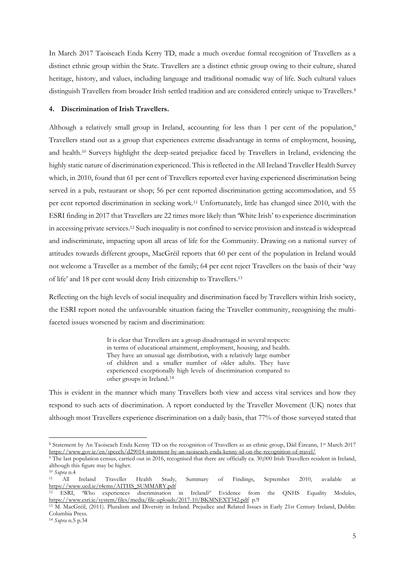In March 2017 Taoiseach Enda Kerry TD, made a much overdue formal recognition of Travellers as a distinct ethnic group within the State. Travellers are a distinct ethnic group owing to their culture, shared heritage, history, and values, including language and traditional nomadic way of life. Such cultural values distinguish Travellers from broader Irish settled tradition and are considered entirely unique to Travellers.<sup>8</sup>

#### **4. Discrimination of Irish Travellers.**

Although a relatively small group in Ireland, accounting for less than 1 per cent of the population,<sup>9</sup> Travellers stand out as a group that experiences extreme disadvantage in terms of employment, housing, and health.<sup>10</sup> Surveys highlight the deep-seated prejudice faced by Travellers in Ireland, evidencing the highly static nature of discrimination experienced. This is reflected in the All Ireland Traveller Health Survey which, in 2010, found that 61 per cent of Travellers reported ever having experienced discrimination being served in a pub, restaurant or shop; 56 per cent reported discrimination getting accommodation, and 55 per cent reported discrimination in seeking work.<sup>11</sup> Unfortunately, little has changed since 2010, with the ESRI finding in 2017 that Travellers are 22 times more likely than 'White Irish' to experience discrimination in accessing private services.<sup>12</sup> Such inequality is not confined to service provision and instead is widespread and indiscriminate, impacting upon all areas of life for the Community. Drawing on a national survey of attitudes towards different groups, MacGréil reports that 60 per cent of the population in Ireland would not welcome a Traveller as a member of the family; 64 per cent reject Travellers on the basis of their 'way of life' and 18 per cent would deny Irish citizenship to Travellers.<sup>13</sup>

Reflecting on the high levels of social inequality and discrimination faced by Travellers within Irish society, the ESRI report noted the unfavourable situation facing the Traveller community, recognising the multifaceted issues worsened by racism and discrimination:

> It is clear that Travellers are a group disadvantaged in several respects: in terms of educational attainment, employment, housing, and health. They have an unusual age distribution, with a relatively large number of children and a smaller number of older adults. They have experienced exceptionally high levels of discrimination compared to other groups in Ireland. 14

This is evident in the manner which many Travellers both view and access vital services and how they respond to such acts of discrimination. A report conducted by the Traveller Movement (UK) notes that although most Travellers experience discrimination on a daily basis, that 77% of those surveyed stated that

<sup>8</sup> Statement by An Taoiseach Enda Kenny TD on the recognition of Travellers as an ethnic group, Dáil Éireann, 1st March 2017 <https://www.gov.ie/en/speech/d29014-statement-by-an-taoiseach-enda-kenny-td-on-the-recognition-of-travel/>

<sup>9</sup> The last population census, carried out in 2016, recognised that there are officially ca. 30,000 Irish Travellers resident in Ireland, although this figure may be higher.

<sup>10</sup> *Supra* n.4 <sup>11</sup> All Ireland Traveller Health Study, Summary of Findings, September 2010, available at [https://www.ucd.ie/t4cms/AITHS\\_SUMMARY.pdf](https://www.ucd.ie/t4cms/AITHS_SUMMARY.pdf)<br><sup>12</sup> ESRI, Who experiences discrimination

Who experiences discrimination in Ireland?' Evidence from the QNHS Equality Modules, <https://www.esri.ie/system/files/media/file-uploads/2017-10/BKMNEXT342.pdf>p.9

<sup>13</sup> M. MacGréil, (2011). Pluralism and Diversity in Ireland. Prejudice and Related Issues in Early 21st Century Ireland, Dublin: Columbia Press.

<sup>14</sup> *Supra* n.5 p.34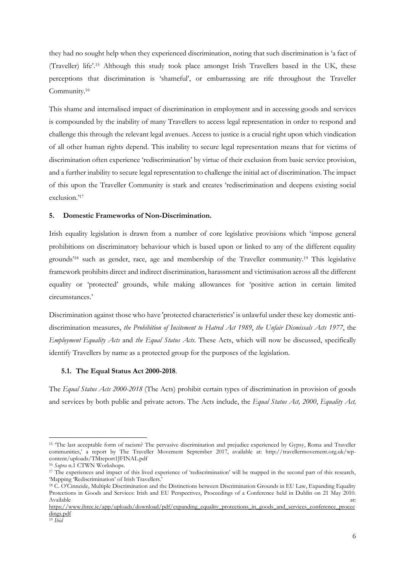they had no sought help when they experienced discrimination, noting that such discrimination is 'a fact of (Traveller) life'.<sup>15</sup> Although this study took place amongst Irish Travellers based in the UK, these perceptions that discrimination is 'shameful', or embarrassing are rife throughout the Traveller Community. 16

This shame and internalised impact of discrimination in employment and in accessing goods and services is compounded by the inability of many Travellers to access legal representation in order to respond and challenge this through the relevant legal avenues. Access to justice is a crucial right upon which vindication of all other human rights depend. This inability to secure legal representation means that for victims of discrimination often experience 'rediscrimination' by virtue of their exclusion from basic service provision, and a further inability to secure legal representation to challenge the initial act of discrimination. The impact of this upon the Traveller Community is stark and creates 'rediscrimination and deepens existing social exclusion.' 17

#### **5. Domestic Frameworks of Non-Discrimination.**

Irish equality legislation is drawn from a number of core legislative provisions which 'impose general prohibitions on discriminatory behaviour which is based upon or linked to any of the different equality grounds'<sup>18</sup> such as gender, race, age and membership of the Traveller community. <sup>19</sup> This legislative framework prohibits direct and indirect discrimination, harassment and victimisation across all the different equality or 'protected' grounds, while making allowances for 'positive action in certain limited circumstances.'

Discrimination against those who have 'protected characteristics' is unlawful under these key domestic antidiscrimination measures, *the Prohibition of Incitement to Hatred Act 1989*, *the Unfair Dismissals Acts 1977*, the *Employment Equality Acts* and *the Equal Status Acts*. These Acts, which will now be discussed, specifically identify Travellers by name as a protected group for the purposes of the legislation.

#### **5.1. The Equal Status Act 2000-2018**.

The *Equal Status Acts 2000-2018* (The Acts) prohibit certain types of discrimination in provision of goods and services by both public and private actors. The Acts include, the *Equal Status Act, 2000*, *Equality Act,* 

<sup>15</sup> 'The last acceptable form of racism? The pervasive discrimination and prejudice experienced by Gypsy, Roma and Traveller communities,' a report by The Traveller Movement September 2017, available at: http://travellermovement.org.uk/wpcontent/uploads/TMreport1JFINAL.pdf

<sup>16</sup> *Supra* n.1 CTWN Workshops.

<sup>&</sup>lt;sup>17</sup> The experiences and impact of this lived experience of 'rediscrimination' will be mapped in the second part of this research, 'Mapping 'Rediscrimination' of Irish Travellers.'

<sup>18</sup> C. O'Cinneide, Multiple Discrimination and the Distinctions between Discrimination Grounds in EU Law, Expanding Equality Protections in Goods and Services: Irish and EU Perspectives, Proceedings of a Conference held in Dublin on 21 May 2010. Available at: the contract of the contract of the contract of the contract of the contract of the contract of the contract of the contract of the contract of the contract of the contract of the contract of the contract of

[https://www.ihrec.ie/app/uploads/download/pdf/expanding\\_equality\\_protections\\_in\\_goods\\_and\\_services\\_conference\\_procee](https://www.ihrec.ie/app/uploads/download/pdf/expanding_equality_protections_in_goods_and_services_conference_proceedings.pdf) [dings.pdf](https://www.ihrec.ie/app/uploads/download/pdf/expanding_equality_protections_in_goods_and_services_conference_proceedings.pdf)

<sup>19</sup> *Ibid*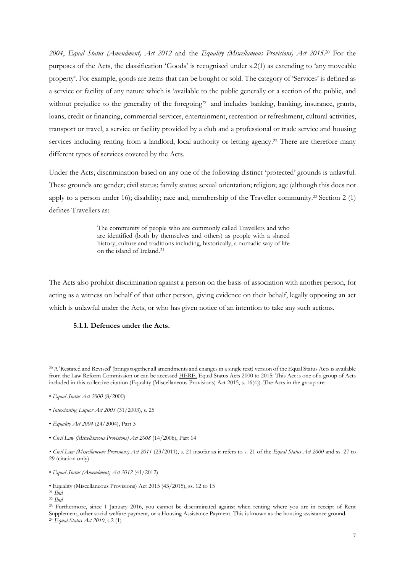2004, *Equal Status (Amendment) Act 2012* and the *Equality (Miscellaneous Provisions) Act 2015*.<sup>20</sup> For the purposes of the Acts, the classification 'Goods' is recognised under s.2(1) as extending to 'any moveable property'. For example, goods are items that can be bought or sold. The category of 'Services' is defined as a service or facility of any nature which is 'available to the public generally or a section of the public, and without prejudice to the generality of the foregoing<sup>21</sup> and includes banking, banking, insurance, grants, loans, credit or financing, commercial services, entertainment, recreation or refreshment, cultural activities, transport or travel, a service or facility provided by a club and a professional or trade service and housing services including renting from a landlord, local authority or letting agency.<sup>22</sup> There are therefore many different types of services covered by the Acts.

Under the Acts, discrimination based on any one of the following distinct 'protected' grounds is unlawful. These grounds are gender; civil status; family status; sexual orientation; religion; age (although this does not apply to a person under 16); disability; race and, membership of the Traveller community. <sup>23</sup> Section 2 (1) defines Travellers as:

> The community of people who are commonly called Travellers and who are identified (both by themselves and others) as people with a shared history, culture and traditions including, historically, a nomadic way of life on the island of Ireland.<sup>24</sup>

The Acts also prohibit discrimination against a person on the basis of association with another person, for acting as a witness on behalf of that other person, giving evidence on their behalf, legally opposing an act which is unlawful under the Acts, or who has given notice of an intention to take any such actions.

# **5.1.1. Defences under the Acts.**

<sup>20</sup> A 'Restated and Revised' (brings together all amendments and changes in a single text) version of the Equal Status Acts is available from the Law Reform Commission or can be accessed [HERE.](http://www.lawreform.ie/_fileupload/RevisedActs/WithAnnotations/HTML/EN_ACT_2000_0008.HTM) Equal Status Acts 2000 to 2015: This Act is one of a group of Acts included in this collective citation (Equality (Miscellaneous Provisions) Act 2015, s. 16(4)). The Acts in the group are:

<sup>•</sup> *Equal Status Act 2000* (8/2000)

<sup>•</sup> *Intoxicating Liquor Act 2003* (31/2003), s. 25

<sup>•</sup> *Equality Act 2004* (24/2004), Part 3

<sup>•</sup> *Civil Law (Miscellaneous Provisions) Act 2008* (14/2008), Part 14

*<sup>•</sup> Civil Law (Miscellaneous Provisions) Act 2011* (23/2011), s. 21 insofar as it refers to s. 21 of the *Equal Status Act 2000* and ss. 27 to 29 (citation only)

<sup>•</sup> *Equal Status (Amendment) Act 2012* (41/2012)

<sup>•</sup> Equality (Miscellaneous Provisions) Act 2015 (43/2015), ss. 12 to 15

<sup>21</sup> *Ibid*

<sup>22</sup> *Ibid*

<sup>23</sup> Furthermore, since 1 January 2016, you cannot be discriminated against when renting where you are in receipt of Rent Supplement, other social welfare payment, or a Housing Assistance Payment. This is known as the housing assistance ground. <sup>24</sup> *Equal Status Act 2010*, s.2 (1)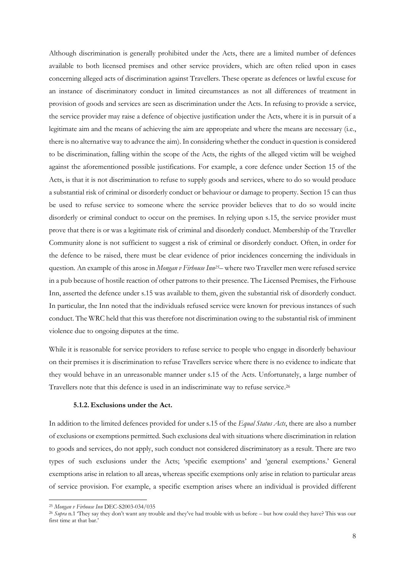Although discrimination is generally prohibited under the Acts, there are a limited number of defences available to both licensed premises and other service providers, which are often relied upon in cases concerning alleged acts of discrimination against Travellers. These operate as defences or lawful excuse for an instance of discriminatory conduct in limited circumstances as not all differences of treatment in provision of goods and services are seen as discrimination under the Acts. In refusing to provide a service, the service provider may raise a defence of objective justification under the Acts, where it is in pursuit of a legitimate aim and the means of achieving the aim are appropriate and where the means are necessary (i.e., there is no alternative way to advance the aim). In considering whether the conduct in question is considered to be discrimination, falling within the scope of the Acts, the rights of the alleged victim will be weighed against the aforementioned possible justifications. For example, a core defence under Section 15 of the Acts, is that it is not discrimination to refuse to supply goods and services, where to do so would produce a substantial risk of criminal or disorderly conduct or behaviour or damage to property. Section 15 can thus be used to refuse service to someone where the service provider believes that to do so would incite disorderly or criminal conduct to occur on the premises. In relying upon s.15, the service provider must prove that there is or was a legitimate risk of criminal and disorderly conduct. Membership of the Traveller Community alone is not sufficient to suggest a risk of criminal or disorderly conduct. Often, in order for the defence to be raised, there must be clear evidence of prior incidences concerning the individuals in question. An example of this arose in *Mongan v Firhouse Inn25*– where two Traveller men were refused service in a pub because of hostile reaction of other patrons to their presence. The Licensed Premises, the Firhouse Inn, asserted the defence under s.15 was available to them, given the substantial risk of disorderly conduct. In particular, the Inn noted that the individuals refused service were known for previous instances of such conduct. The WRC held that this was therefore not discrimination owing to the substantial risk of imminent violence due to ongoing disputes at the time.

While it is reasonable for service providers to refuse service to people who engage in disorderly behaviour on their premises it is discrimination to refuse Travellers service where there is no evidence to indicate that they would behave in an unreasonable manner under s.15 of the Acts. Unfortunately, a large number of Travellers note that this defence is used in an indiscriminate way to refuse service. 26

# **5.1.2. Exclusions under the Act.**

In addition to the limited defences provided for under s.15 of the *Equal Status Acts*, there are also a number of exclusions or exemptions permitted. Such exclusions deal with situations where discrimination in relation to goods and services, do not apply, such conduct not considered discriminatory as a result. There are two types of such exclusions under the Acts; 'specific exemptions' and 'general exemptions.' General exemptions arise in relation to all areas, whereas specific exemptions only arise in relation to particular areas of service provision. For example, a specific exemption arises where an individual is provided different

<sup>25</sup> *Mongan v Firhouse Inn* DEC-S2003-034/035

<sup>26</sup> *Supra* n.1 'They say they don't want any trouble and they've had trouble with us before – but how could they have? This was our first time at that bar.'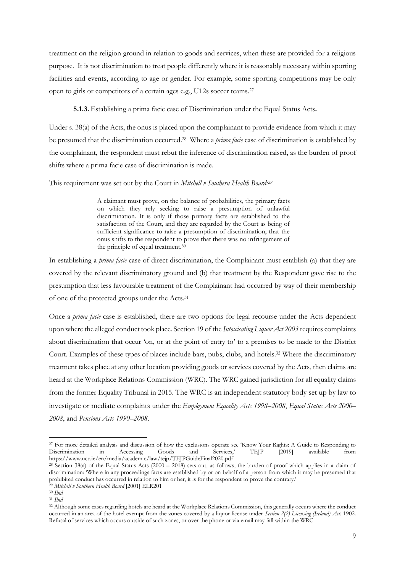treatment on the religion ground in relation to goods and services, when these are provided for a religious purpose. It is not discrimination to treat people differently where it is reasonably necessary within sporting facilities and events, according to age or gender. For example, some sporting competitions may be only open to girls or competitors of a certain ages e.g., U12s soccer teams.<sup>27</sup>

**5.1.3.** Establishing a prima facie case of Discrimination under the Equal Status Acts**.**

Under s. 38(a) of the Acts, the onus is placed upon the complainant to provide evidence from which it may be presumed that the discrimination occurred. <sup>28</sup> Where a *prima facie* case of discrimination is established by the complainant, the respondent must rebut the inference of discrimination raised, as the burden of proof shifts where a prima facie case of discrimination is made.

This requirement was set out by the Court in *Mitchell v Southern Health Board: 29*

A claimant must prove, on the balance of probabilities, the primary facts on which they rely seeking to raise a presumption of unlawful discrimination. It is only if those primary facts are established to the satisfaction of the Court, and they are regarded by the Court as being of sufficient significance to raise a presumption of discrimination, that the onus shifts to the respondent to prove that there was no infringement of the principle of equal treatment.<sup>30</sup>

In establishing a *prima facie* case of direct discrimination, the Complainant must establish (a) that they are covered by the relevant discriminatory ground and (b) that treatment by the Respondent gave rise to the presumption that less favourable treatment of the Complainant had occurred by way of their membership of one of the protected groups under the Acts.<sup>31</sup>

Once a *prima facie* case is established, there are two options for legal recourse under the Acts dependent upon where the alleged conduct took place. Section 19 of the *Intoxicating Liquor Act 2003* requires complaints about discrimination that occur 'on, or at the point of entry to' to a premises to be made to the District Court. Examples of these types of places include bars, pubs, clubs, and hotels. <sup>32</sup> Where the discriminatory treatment takes place at any other location providing goods or services covered by the Acts, then claims are heard at the Workplace Relations Commission (WRC). The WRC gained jurisdiction for all equality claims from the former Equality Tribunal in 2015. The WRC is an independent statutory body set up by law to investigate or mediate complaints under the *Employment Equality Acts 1998–2008*, *Equal Status Acts 2000– 2008*, and *Pensions Acts 1990–2008*.

<sup>&</sup>lt;sup>27</sup> For more detailed analysis and discussion of how the exclusions operate see 'Know Your Rights: A Guide to Responding to Discrimination in Accessing Goods and Services,' TEJP [2019] available from Discrimination in Accessing Goods and Services,' TEJP [2019] available from <https://www.ucc.ie/en/media/academic/law/tejp/TEJPGuideFinal2020.pdf>

<sup>&</sup>lt;sup>28</sup> Section 38(a) of the Equal Status Acts (2000 – 2018) sets out, as follows, the burden of proof which applies in a claim of discrimination: 'Where in any proceedings facts are established by or on behalf of a person from which it may be presumed that prohibited conduct has occurred in relation to him or her, it is for the respondent to prove the contrary.'

<sup>29</sup> *Mitchell v Southern Health Board* [2001] ELR201 <sup>30</sup> *Ibid*

<sup>31</sup> *Ibid*

<sup>&</sup>lt;sup>32</sup> Although some cases regarding hotels are heard at the Workplace Relations Commission, this generally occurs where the conduct occurred in an area of the hotel exempt from the zones covered by a liquor license under *Section 2(2) Licensing (Ireland) Act.* 1902. Refusal of services which occurs outside of such zones, or over the phone or via email may fall within the WRC.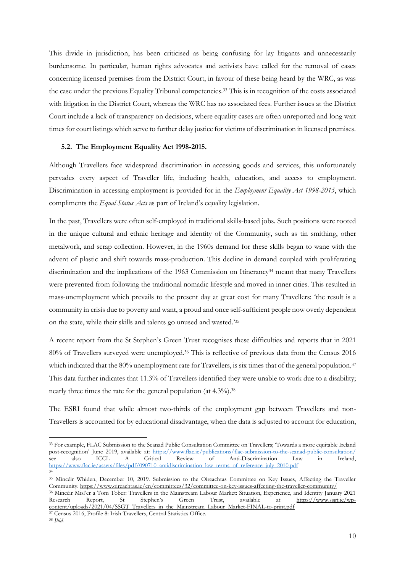This divide in jurisdiction, has been criticised as being confusing for lay litigants and unnecessarily burdensome. In particular, human rights advocates and activists have called for the removal of cases concerning licensed premises from the District Court, in favour of these being heard by the WRC, as was the case under the previous Equality Tribunal competencies.<sup>33</sup> This is in recognition of the costs associated with litigation in the District Court, whereas the WRC has no associated fees. Further issues at the District Court include a lack of transparency on decisions, where equality cases are often unreported and long wait times for court listings which serve to further delay justice for victims of discrimination in licensed premises.

#### **5.2. The Employment Equality Act 1998-2015.**

Although Travellers face widespread discrimination in accessing goods and services, this unfortunately pervades every aspect of Traveller life, including health, education, and access to employment. Discrimination in accessing employment is provided for in the *Employment Equality Act 1998-2015*, which compliments the *Equal Status Acts* as part of Ireland's equality legislation.

In the past, Travellers were often self-employed in traditional skills-based jobs. Such positions were rooted in the unique cultural and ethnic heritage and identity of the Community, such as tin smithing, other metalwork, and scrap collection. However, in the 1960s demand for these skills began to wane with the advent of plastic and shift towards mass-production. This decline in demand coupled with proliferating discrimination and the implications of the 1963 Commission on Itinerancy<sup>34</sup> meant that many Travellers were prevented from following the traditional nomadic lifestyle and moved in inner cities. This resulted in mass-unemployment which prevails to the present day at great cost for many Travellers: 'the result is a community in crisis due to poverty and want, a proud and once self-sufficient people now overly dependent on the state, while their skills and talents go unused and wasted.' 35

A recent report from the St Stephen's Green Trust recognises these difficulties and reports that in 2021 80% of Travellers surveyed were unemployed. <sup>36</sup> This is reflective of previous data from the Census 2016 which indicated that the 80% unemployment rate for Travellers, is six times that of the general population.<sup>37</sup> This data further indicates that 11.3% of Travellers identified they were unable to work due to a disability; nearly three times the rate for the general population (at 4.3%).<sup>38</sup>

The ESRI found that while almost two-thirds of the employment gap between Travellers and non-Travellers is accounted for by educational disadvantage, when the data is adjusted to account for education,

[content/uploads/2021/04/SSGT\\_Travellers\\_in\\_the\\_Mainstream\\_Labour\\_Market-FINAL-to-print.pdf](https://www.ssgt.ie/wp-content/uploads/2021/04/SSGT_Travellers_in_the_Mainstream_Labour_Market-FINAL-to-print.pdf)

<sup>33</sup> For example, FLAC Submission to the Seanad Public Consultation Committee on Travellers; 'Towards a more equitable Ireland post-recognition' June 2019, available at:<https://www.flac.ie/publications/flac-submission-to-the-seanad-public-consultation/> see also ICCL A Critical Review of Anti-Discrimination Law in Ireland, [https://www.flac.ie/assets/files/pdf/090710\\_antidiscrimination\\_law\\_terms\\_of\\_reference\\_july\\_2010.pdf](https://www.flac.ie/assets/files/pdf/090710_antidiscrimination_law_terms_of_reference_july_2010.pdf) 34

<sup>35</sup> Mincéir Whiden, December 10, 2019. Submission to the Oireachtas Committee on Key Issues, Affecting the Traveller Community.<https://www.oireachtas.ie/en/committees/32/committee-on-key-issues-affecting-the-traveller-community/> <sup>36</sup> Mincéir Misl'er a Tom Tober: Travellers in the Mainstream Labour Market: Situation, Experience, and Identity January 2021 Research Report, St Stephen's Green Trust, available at [https://www.ssgt.ie/wp-](https://www.ssgt.ie/wp-content/uploads/2021/04/SSGT_Travellers_in_the_Mainstream_Labour_Market-FINAL-to-print.pdf)

<sup>37</sup> Census 2016, Profile 8: Irish Travellers, Central Statistics Office.

<sup>38</sup> *Ibid.*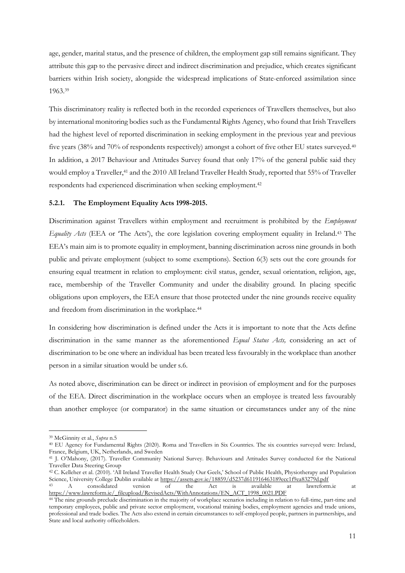age, gender, marital status, and the presence of children, the employment gap still remains significant. They attribute this gap to the pervasive direct and indirect discrimination and prejudice, which creates significant barriers within Irish society, alongside the widespread implications of State-enforced assimilation since 1963. 39

This discriminatory reality is reflected both in the recorded experiences of Travellers themselves, but also by international monitoring bodies such as the Fundamental Rights Agency, who found that Irish Travellers had the highest level of reported discrimination in seeking employment in the previous year and previous five years (38% and 70% of respondents respectively) amongst a cohort of five other EU states surveyed.<sup>40</sup> In addition, a 2017 Behaviour and Attitudes Survey found that only 17% of the general public said they would employ a Traveller, <sup>41</sup> and the 2010 All Ireland Traveller Health Study, reported that 55% of Traveller respondents had experienced discrimination when seeking employment.<sup>42</sup>

#### **5.2.1. The Employment Equality Acts 1998-2015.**

Discrimination against Travellers within employment and recruitment is prohibited by the *Employment Equality Acts* (EEA or 'The Acts'), the core legislation covering employment equality in Ireland.<sup>43</sup> The EEA's main aim is to promote equality in employment, banning discrimination across nine grounds in both public and private employment (subject to some exemptions). Section 6(3) sets out the core grounds for ensuring equal treatment in relation to employment: civil status, gender, sexual orientation, religion, age, race, membership of the Traveller Community and under the disability ground. In placing specific obligations upon employers, the EEA ensure that those protected under the nine grounds receive equality and freedom from discrimination in the workplace.<sup>44</sup>

In considering how discrimination is defined under the Acts it is important to note that the Acts define discrimination in the same manner as the aforementioned *Equal Status Acts,* considering an act of discrimination to be one where an individual has been treated less favourably in the workplace than another person in a similar situation would be under s.6.

As noted above, discrimination can be direct or indirect in provision of employment and for the purposes of the EEA. Direct discrimination in the workplace occurs when an employee is treated less favourably than another employee (or comparator) in the same situation or circumstances under any of the nine

<sup>43</sup> A consolidated version of the Act is available at lawreform.ie at [https://www.lawreform.ie/\\_fileupload/RevisedActs/WithAnnotations/EN\\_ACT\\_1998\\_0021.PDF](https://www.lawreform.ie/_fileupload/RevisedActs/WithAnnotations/EN_ACT_1998_0021.PDF)

<sup>39</sup> McGinnity et al., *Supra* n.5

<sup>40</sup> EU Agency for Fundamental Rights (2020). Roma and Travellers in Six Countries. The six countries surveyed were: Ireland, France, Belgium, UK, Netherlands, and Sweden

<sup>41</sup> J. O'Mahony, (2017). Traveller Community National Survey. Behaviours and Attitudes Survey conducted for the National Traveller Data Steering Group

<sup>42</sup> C. Kelleher et al. (2010). 'All Ireland Traveller Health Study Our Geels,' School of Public Health, Physiotherapy and Population Science, University College Dublin available a[t https://assets.gov.ie/18859/d5237d611916463189ecc1f9ea83279d.pdf](https://assets.gov.ie/18859/d5237d611916463189ecc1f9ea83279d.pdf)

<sup>44</sup> The nine grounds preclude discrimination in the majority of workplace scenarios including in relation to full-time, part-time and temporary employees, public and private sector employment, vocational training bodies, employment agencies and trade unions, professional and trade bodies. The Acts also extend in certain circumstances to self-employed people, partners in partnerships, and State and local authority officeholders.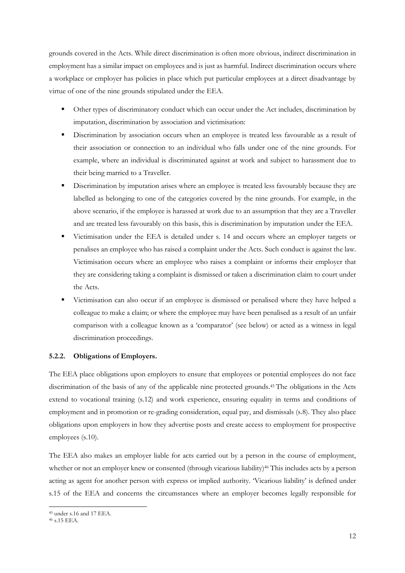grounds covered in the Acts. While direct discrimination is often more obvious, indirect discrimination in employment has a similar impact on employees and is just as harmful. Indirect discrimination occurs where a workplace or employer has policies in place which put particular employees at a direct disadvantage by virtue of one of the nine grounds stipulated under the EEA.

- Other types of discriminatory conduct which can occur under the Act includes, discrimination by imputation, discrimination by association and victimisation:
- **EXECUTE:** Discrimination by association occurs when an employee is treated less favourable as a result of their association or connection to an individual who falls under one of the nine grounds. For example, where an individual is discriminated against at work and subject to harassment due to their being married to a Traveller.
- Discrimination by imputation arises where an employee is treated less favourably because they are labelled as belonging to one of the categories covered by the nine grounds. For example, in the above scenario, if the employee is harassed at work due to an assumption that they are a Traveller and are treated less favourably on this basis, this is discrimination by imputation under the EEA.
- Victimisation under the EEA is detailed under s. 14 and occurs where an employer targets or penalises an employee who has raised a complaint under the Acts. Such conduct is against the law. Victimisation occurs where an employee who raises a complaint or informs their employer that they are considering taking a complaint is dismissed or taken a discrimination claim to court under the Acts.
- Victimisation can also occur if an employee is dismissed or penalised where they have helped a colleague to make a claim; or where the employee may have been penalised as a result of an unfair comparison with a colleague known as a 'comparator' (see below) or acted as a witness in legal discrimination proceedings.

# **5.2.2. Obligations of Employers.**

The EEA place obligations upon employers to ensure that employees or potential employees do not face discrimination of the basis of any of the applicable nine protected grounds. <sup>45</sup> The obligations in the Acts extend to vocational training (s.12) and work experience, ensuring equality in terms and conditions of employment and in promotion or re-grading consideration, equal pay, and dismissals (s.8). They also place obligations upon employers in how they advertise posts and create access to employment for prospective employees (s.10).

The EEA also makes an employer liable for acts carried out by a person in the course of employment, whether or not an employer knew or consented (through vicarious liability)<sup>46</sup> This includes acts by a person acting as agent for another person with express or implied authority. 'Vicarious liability' is defined under s.15 of the EEA and concerns the circumstances where an employer becomes legally responsible for

<sup>45</sup> under s.16 and 17 EEA.

<sup>46</sup> s.15 EEA.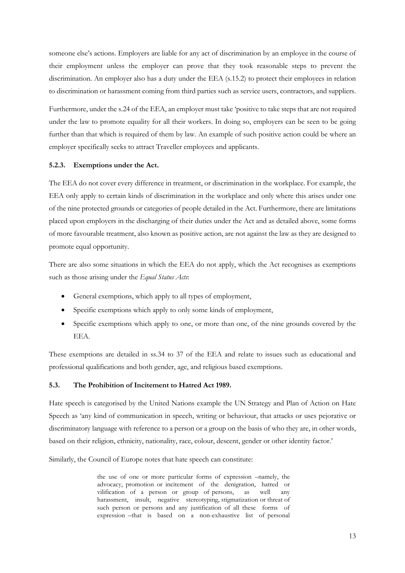someone else's actions. Employers are liable for any act of discrimination by an employee in the course of their employment unless the employer can prove that they took reasonable steps to prevent the discrimination. An employer also has a duty under the EEA (s.15.2) to protect their employees in relation to discrimination or harassment coming from third parties such as service users, contractors, and suppliers.

Furthermore, under the s.24 of the EEA, an employer must take 'positive to take steps that are not required under the law to promote equality for all their workers. In doing so, employers can be seen to be going further than that which is required of them by law. An example of such positive action could be where an employer specifically seeks to attract Traveller employees and applicants.

#### **5.2.3. Exemptions under the Act.**

The EEA do not cover every difference in treatment, or discrimination in the workplace. For example, the EEA only apply to certain kinds of discrimination in the workplace and only where this arises under one of the nine protected grounds or categories of people detailed in the Act. Furthermore, there are limitations placed upon employers in the discharging of their duties under the Act and as detailed above, some forms of more favourable treatment, also known as positive action, are not against the law as they are designed to promote equal opportunity.

There are also some situations in which the EEA do not apply, which the Act recognises as exemptions such as those arising under the *Equal Status Acts*:

- General exemptions, which apply to all types of employment,
- Specific exemptions which apply to only some kinds of employment,
- Specific exemptions which apply to one, or more than one, of the nine grounds covered by the EEA.

These exemptions are detailed in ss.34 to 37 of the EEA and relate to issues such as educational and professional qualifications and both gender, age, and religious based exemptions.

# **5.3. The Prohibition of Incitement to Hatred Act 1989.**

Hate speech is categorised by the United Nations example the UN Strategy and Plan of Action on Hate Speech as 'any kind of communication in speech, writing or behaviour, that attacks or uses pejorative or discriminatory language with reference to a person or a group on the basis of who they are, in other words, based on their religion, ethnicity, nationality, race, colour, descent, gender or other identity factor.'

Similarly, the Council of Europe notes that hate speech can constitute:

the use of one or more particular forms of expression –namely, the advocacy, promotion or incitement of the denigration, hatred or vilification of a person or group of persons, as well any harassment, insult, negative stereotyping, stigmatization or threat of such person or persons and any justification of all these forms of expression –that is based on a non-exhaustive list of personal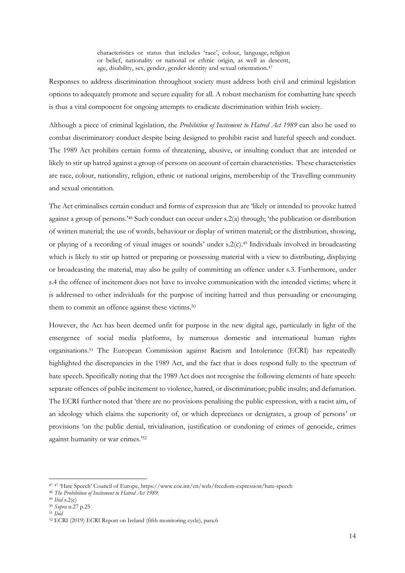characteristics or status that includes 'race', colour, language, religion or belief, nationality or national or ethnic origin, as well as descent, age, disability, sex, gender, gender identity and sexual orientation.<sup>47</sup>

Responses to address discrimination throughout society must address both civil and criminal legislation options to adequately promote and secure equality for all. A robust mechanism for combatting hate speech is thus a vital component for ongoing attempts to eradicate discrimination within Irish society.

Although a piece of criminal legislation, the *Prohibition of Incitement to Hatred Act 1989* can also be used to combat discriminatory conduct despite being designed to prohibit racist and hateful speech and conduct. The 1989 Act prohibits certain forms of threatening, abusive, or insulting conduct that are intended or likely to stir up hatred against a group of persons on account of certain characteristics. These characteristics are race, colour, nationality, religion, ethnic or national origins, membership of the Travelling community and sexual orientation.

The Act criminalises certain conduct and forms of expression that are 'likely or intended to provoke hatred against a group of persons.'<sup>48</sup> Such conduct can occur under s.2(a) through; 'the publication or distribution of written material; the use of words, behaviour or display of written material; or the distribution, showing, or playing of a recording of visual images or sounds' under s.2(c). <sup>49</sup> Individuals involved in broadcasting which is likely to stir up hatred or preparing or possessing material with a view to distributing, displaying or broadcasting the material, may also be guilty of committing an offence under s.3. Furthermore, under s.4 the offence of incitement does not have to involve communication with the intended victims; where it is addressed to other individuals for the purpose of inciting hatred and thus persuading or encouraging them to commit an offence against these victims.<sup>50</sup>

However, the Act has been deemed unfit for purpose in the new digital age, particularly in light of the emergence of social media platforms, by numerous domestic and international human rights organisations.<sup>51</sup> The European Commission against Racism and Intolerance (ECRI) has repeatedly highlighted the discrepancies in the 1989 Act, and the fact that is does respond fully to the spectrum of hate speech. Specifically noting that the 1989 Act does not recognise the following elements of hate speech: separate offences of public incitement to violence, hatred, or discrimination; public insults; and defamation. The ECRI further noted that 'there are no provisions penalising the public expression, with a racist aim, of an ideology which claims the superiority of, or which depreciates or denigrates, a group of persons' or provisions 'on the public denial, trivialisation, justification or condoning of crimes of genocide, crimes against humanity or war crimes.' 52

<sup>47</sup> <sup>47</sup> 'Hate Speech' Council of Europe, https://www.coe.int/en/web/freedom-expression/hate-speech

<sup>48</sup> *The Prohibition of Incitement to Hatred Act 1989.*

<sup>49</sup> *Ibid* s.2(c)

<sup>50</sup> *Supra* n.27 p.25

<sup>51</sup> *Ibid*

<sup>52</sup> ECRI (2019) ECRI Report on Ireland (fifth monitoring cycle), para.6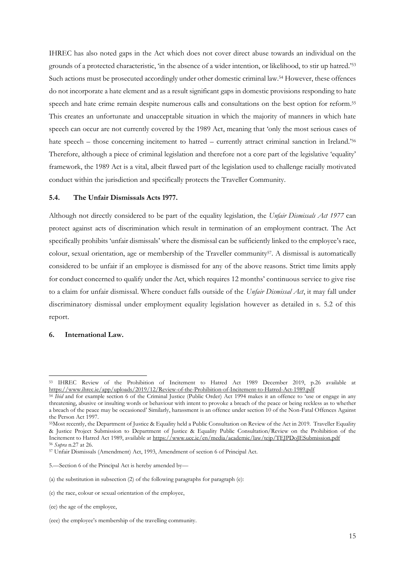IHREC has also noted gaps in the Act which does not cover direct abuse towards an individual on the grounds of a protected characteristic, 'in the absence of a wider intention, or likelihood, to stir up hatred.'<sup>53</sup> Such actions must be prosecuted accordingly under other domestic criminal law.<sup>54</sup> However, these offences do not incorporate a hate element and as a result significant gaps in domestic provisions responding to hate speech and hate crime remain despite numerous calls and consultations on the best option for reform.<sup>55</sup> This creates an unfortunate and unacceptable situation in which the majority of manners in which hate speech can occur are not currently covered by the 1989 Act, meaning that 'only the most serious cases of hate speech – those concerning incitement to hatred – currently attract criminal sanction in Ireland.'<sup>56</sup> Therefore, although a piece of criminal legislation and therefore not a core part of the legislative 'equality' framework, the 1989 Act is a vital, albeit flawed part of the legislation used to challenge racially motivated conduct within the jurisdiction and specifically protects the Traveller Community.

#### **5.4. The Unfair Dismissals Acts 1977.**

Although not directly considered to be part of the equality legislation, the *Unfair Dismissals Act 1977* can protect against acts of discrimination which result in termination of an employment contract. The Act specifically prohibits 'unfair dismissals' where the dismissal can be sufficiently linked to the employee's race, colour, sexual orientation, age or membership of the Traveller community<sup>57</sup>. A dismissal is automatically considered to be unfair if an employee is dismissed for any of the above reasons. Strict time limits apply for conduct concerned to qualify under the Act, which requires 12 months' continuous service to give rise to a claim for unfair dismissal. Where conduct falls outside of the *Unfair Dismissal Act*, it may fall under discriminatory dismissal under employment equality legislation however as detailed in s. 5.2 of this report.

#### **6. International Law.**

<sup>53</sup> IHREC Review of the Prohibition of Incitement to Hatred Act 1989 December 2019, p.26 available at <https://www.ihrec.ie/app/uploads/2019/12/Review-of-the-Prohibition-of-Incitement-to-Hatred-Act-1989.pdf>

<sup>54</sup> *Ibid* and for example section 6 of the Criminal Justice (Public Order) Act 1994 makes it an offence to 'use or engage in any threatening, abusive or insulting words or behaviour with intent to provoke a breach of the peace or being reckless as to whether a breach of the peace may be occasioned' Similarly, harassment is an offence under section 10 of the Non-Fatal Offences Against the Person Act 1997.

<sup>55</sup>Most recently, the Department of Justice & Equality held a Public Consultation on Review of the Act in 2019. Traveller Equality & Justice Project Submission to Department of Justice & Equality Public Consultation/Review on the Prohibition of the Incitement to Hatred Act 1989, available a[t https://www.ucc.ie/en/media/academic/law/tejp/TEJPDoJESubmission.pdf](https://www.ucc.ie/en/media/academic/law/tejp/TEJPDoJESubmission.pdf) <sup>56</sup> *Supra* n.27 at 26.

<sup>57</sup> Unfair Dismissals (Amendment) Act, 1993, Amendment of section 6 of Principal Act.

<sup>5.</sup>—Section 6 of the Principal Act is hereby amended by—

<sup>(</sup>a) the substitution in subsection  $(2)$  of the following paragraphs for paragraph  $(e)$ :

<sup>(</sup>e) the race, colour or sexual orientation of the employee,

<sup>(</sup>ee) the age of the employee,

<sup>(</sup>eee) the employee's membership of the travelling community.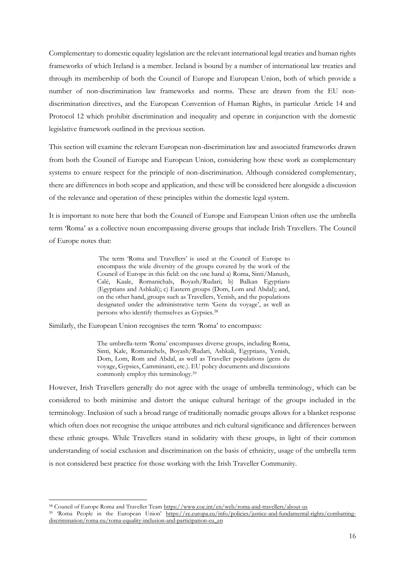Complementary to domestic equality legislation are the relevant international legal treaties and human rights frameworks of which Ireland is a member. Ireland is bound by a number of international law treaties and through its membership of both the Council of Europe and European Union, both of which provide a number of non-discrimination law frameworks and norms. These are drawn from the EU nondiscrimination directives, and the European Convention of Human Rights, in particular Article 14 and Protocol 12 which prohibit discrimination and inequality and operate in conjunction with the domestic legislative framework outlined in the previous section.

This section will examine the relevant European non-discrimination law and associated frameworks drawn from both the Council of Europe and European Union, considering how these work as complementary systems to ensure respect for the principle of non-discrimination. Although considered complementary, there are differences in both scope and application, and these will be considered here alongside a discussion of the relevance and operation of these principles within the domestic legal system.

It is important to note here that both the Council of Europe and European Union often use the umbrella term 'Roma' as a collective noun encompassing diverse groups that include Irish Travellers. The Council of Europe notes that:

> The term 'Roma and Travellers' is used at the Council of Europe to encompass the wide diversity of the groups covered by the work of the Council of Europe in this field: on the one hand a) Roma, Sinti/Manush, Calé, Kaale, Romanichals, Boyash/Rudari; b) Balkan Egyptians (Egyptians and Ashkali); c) Eastern groups (Dom, Lom and Abdal); and, on the other hand, groups such as Travellers, Yenish, and the populations designated under the administrative term 'Gens du voyage', as well as persons who identify themselves as Gypsies.<sup>58</sup>

Similarly, the European Union recognises the term 'Roma' to encompass:

The umbrella-term 'Roma' encompasses diverse groups, including Roma, Sinti, Kale, Romanichels, Boyash/Rudari, Ashkali, Egyptians, Yenish, Dom, Lom, Rom and Abdal, as well as Traveller populations (gens du voyage, Gypsies, Camminanti, etc.). EU policy documents and discussions commonly employ this terminology.<sup>59</sup>

However, Irish Travellers generally do not agree with the usage of umbrella terminology, which can be considered to both minimise and distort the unique cultural heritage of the groups included in the terminology. Inclusion of such a broad range of traditionally nomadic groups allows for a blanket response which often does not recognise the unique attributes and rich cultural significance and differences between these ethnic groups. While Travellers stand in solidarity with these groups, in light of their common understanding of social exclusion and discrimination on the basis of ethnicity, usage of the umbrella term is not considered best practice for those working with the Irish Traveller Community.

<sup>58</sup> Council of Europe Roma and Traveller Team<https://www.coe.int/en/web/roma-and-travellers/about-us>

<sup>59</sup> 'Roma People in the European Union' [https://ec.europa.eu/info/policies/justice-and-fundamental-rights/combatting](https://ec.europa.eu/info/policies/justice-and-fundamental-rights/combatting-discrimination/roma-eu/roma-equality-inclusion-and-participation-eu_en)[discrimination/roma-eu/roma-equality-inclusion-and-participation-eu\\_en](https://ec.europa.eu/info/policies/justice-and-fundamental-rights/combatting-discrimination/roma-eu/roma-equality-inclusion-and-participation-eu_en)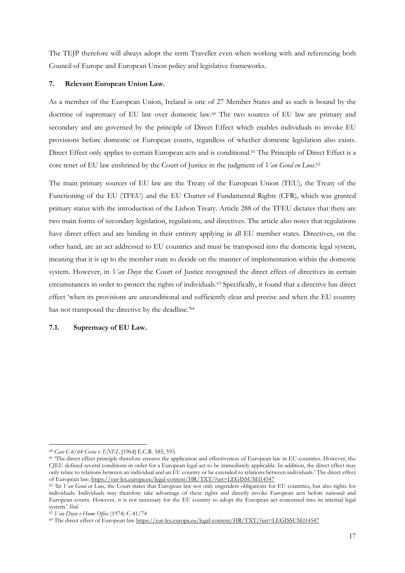The TEJP therefore will always adopt the term Traveller even when working with and referencing both Council of Europe and European Union policy and legislative frameworks.

#### **7. Relevant European Union Law.**

As a member of the European Union, Ireland is one of 27 Member States and as such is bound by the doctrine of supremacy of EU law over domestic law.<sup>60</sup> The two sources of EU law are primary and secondary and are governed by the principle of Direct Effect which enables individuals to invoke EU provisions before domestic or European courts, regardless of whether domestic legislation also exists. Direct Effect only applies to certain European acts and is conditional.<sup>61</sup> The Principle of Direct Effect is a core tenet of EU law enshrined by the Court of Justice in the judgment of *Van Gend en Loos*. 62

The main primary sources of EU law are the Treaty of the European Union (TEU), the Treaty of the Functioning of the EU (TFEU) and the EU Charter of Fundamental Rights (CFR), which was granted primary status with the introduction of the Lisbon Treaty. Article 288 of the TFEU dictates that there are two main forms of secondary legislation, regulations, and directives. The article also notes that regulations have direct effect and are binding in their entirety applying in all EU member states. Directives, on the other hand, are an act addressed to EU countries and must be transposed into the domestic legal system, meaning that it is up to the member state to decide on the manner of implementation within the domestic system. However, in *Van Duyn* the Court of Justice recognised the direct effect of directives in certain circumstances in order to protect the rights of individuals.<sup>63</sup> Specifically, it found that a directive has direct effect 'when its provisions are unconditional and sufficiently clear and precise and when the EU country has not transposed the directive by the deadline.'<sup>64</sup>

# **7.1. Supremacy of EU Law.**

*<sup>60</sup> Case C-6/64 Costa v. ENEL* [1964] E.C.R. 585, 593.

<sup>&</sup>lt;sup>61</sup> The direct effect principle therefore ensures the application and effectiveness of European law in EU countries. However, the CJEU defined several conditions in order for a European legal act to be immediately applicable. In addition, the direct effect may only relate to relations between an individual and an EU country or be extended to relations between individuals.' The direct effect of European law[, https://eur-lex.europa.eu/legal-content/HR/TXT/?uri=LEGISSUM:l14547](https://eur-lex.europa.eu/legal-content/HR/TXT/?uri=LEGISSUM:l14547)

<sup>&</sup>lt;sup>62</sup> In *Van Gend en Loos*, the Court states that European law not only engenders obligations for EU countries, but also rights for individuals. Individuals may therefore take advantage of these rights and directly invoke European acts before national and European courts. However, it is not necessary for the EU country to adopt the European act concerned into its internal legal system.' *Ibid.*

<sup>63</sup> *Van Duyn v Home Office* (1974) C-41/74

<sup>64</sup> The direct effect of European law<https://eur-lex.europa.eu/legal-content/HR/TXT/?uri=LEGISSUM:l14547>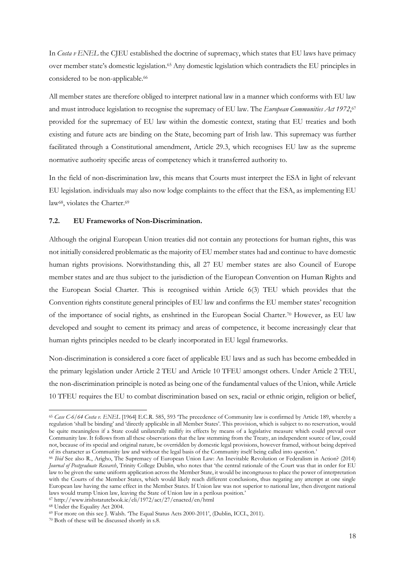In *Costa v ENEL* the CJEU established the doctrine of supremacy, which states that EU laws have primacy over member state's domestic legislation.<sup>65</sup> Any domestic legislation which contradicts the EU principles in considered to be non-applicable. 66

All member states are therefore obliged to interpret national law in a manner which conforms with EU law and must introduce legislation to recognise the supremacy of EU law. The *European Communities Act 1972*, 67 provided for the supremacy of EU law within the domestic context, stating that EU treaties and both existing and future acts are binding on the State, becoming part of Irish law. This supremacy was further facilitated through a Constitutional amendment, Article 29.3, which recognises EU law as the supreme normative authority specific areas of competency which it transferred authority to.

In the field of non-discrimination law, this means that Courts must interpret the ESA in light of relevant EU legislation. individuals may also now lodge complaints to the effect that the ESA, as implementing EU law<sup>68</sup>, violates the Charter.<sup>69</sup>

### **7.2. EU Frameworks of Non-Discrimination.**

Although the original European Union treaties did not contain any protections for human rights, this was not initially considered problematic as the majority of EU member states had and continue to have domestic human rights provisions. Notwithstanding this, all 27 EU member states are also Council of Europe member states and are thus subject to the jurisdiction of the European Convention on Human Rights and the European Social Charter. This is recognised within Article 6(3) TEU which provides that the Convention rights constitute general principles of EU law and confirms the EU member states' recognition of the importance of social rights, as enshrined in the European Social Charter.<sup>70</sup> However, as EU law developed and sought to cement its primacy and areas of competence, it become increasingly clear that human rights principles needed to be clearly incorporated in EU legal frameworks.

Non-discrimination is considered a core facet of applicable EU laws and as such has become embedded in the primary legislation under Article 2 TEU and Article 10 TFEU amongst others. Under Article 2 TEU, the non-discrimination principle is noted as being one of the fundamental values of the Union, while Article 10 TFEU requires the EU to combat discrimination based on sex, racial or ethnic origin, religion or belief,

<sup>65</sup> *Case C-6/64 Costa v. ENEL* [1964] E.C.R. 585, 593 'The precedence of Community law is confirmed by Article 189, whereby a regulation 'shall be binding' and 'directly applicable in all Member States'. This provision, which is subject to no reservation, would be quite meaningless if a State could unilaterally nullify its effects by means of a legislative measure which could prevail over Community law. It follows from all these observations that the law stemming from the Treaty, an independent source of law, could not, because of its special and original nature, be overridden by domestic legal provisions, however framed, without being deprived of its character as Community law and without the legal basis of the Community itself being called into question.'

<sup>66</sup> *Ibid* See also R., Arigho, The Supremacy of European Union Law: An Inevitable Revolution or Federalism in Action? (2014) *Journal of Postgraduate Research*, Trinity College Dublin, who notes that 'the central rationale of the Court was that in order for EU law to be given the same uniform application across the Member State, it would be incongruous to place the power of interpretation with the Courts of the Member States, which would likely reach different conclusions, thus negating any attempt at one single European law having the same effect in the Member States. If Union law was not superior to national law, then divergent national laws would trump Union law, leaving the State of Union law in a perilous position.'

<sup>67</sup> http://www.irishstatutebook.ie/eli/1972/act/27/enacted/en/html

<sup>68</sup> Under the Equality Act 2004.

<sup>69</sup> For more on this see J. Walsh. 'The Equal Status Acts 2000-2011', (Dublin, ICCL, 2011).

<sup>70</sup> Both of these will be discussed shortly in s.8.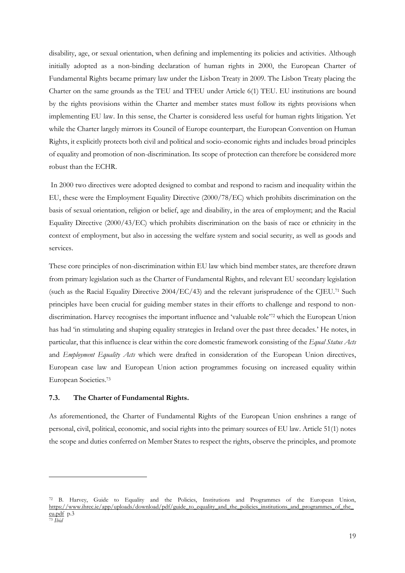disability, age, or sexual orientation, when defining and implementing its policies and activities. Although initially adopted as a non-binding declaration of human rights in 2000, the European Charter of Fundamental Rights became primary law under the Lisbon Treaty in 2009. The Lisbon Treaty placing the Charter on the same grounds as the TEU and TFEU under Article 6(1) TEU. EU institutions are bound by the rights provisions within the Charter and member states must follow its rights provisions when implementing EU law. In this sense, the Charter is considered less useful for human rights litigation. Yet while the Charter largely mirrors its Council of Europe counterpart, the European Convention on Human Rights, it explicitly protects both civil and political and socio-economic rights and includes broad principles of equality and promotion of non-discrimination. Its scope of protection can therefore be considered more robust than the ECHR.

In 2000 two directives were adopted designed to combat and respond to racism and inequality within the EU, these were the Employment Equality Directive (2000/78/EC) which prohibits discrimination on the basis of sexual orientation, religion or belief, age and disability, in the area of employment; and the Racial Equality Directive (2000/43/EC) which prohibits discrimination on the basis of race or ethnicity in the context of employment, but also in accessing the welfare system and social security, as well as goods and services.

These core principles of non-discrimination within EU law which bind member states, are therefore drawn from primary legislation such as the Charter of Fundamental Rights, and relevant EU secondary legislation (such as the Racial Equality Directive 2004/EC/43) and the relevant jurisprudence of the CJEU.<sup>71</sup> Such principles have been crucial for guiding member states in their efforts to challenge and respond to nondiscrimination. Harvey recognises the important influence and 'valuable role'<sup>72</sup> which the European Union has had 'in stimulating and shaping equality strategies in Ireland over the past three decades.' He notes, in particular, that this influence is clear within the core domestic framework consisting of the *Equal Status Acts*  and *Employment Equality Acts* which were drafted in consideration of the European Union directives, European case law and European Union action programmes focusing on increased equality within European Societies. 73

# **7.3. The Charter of Fundamental Rights.**

As aforementioned, the Charter of Fundamental Rights of the European Union enshrines a range of personal, civil, political, economic, and social rights into the primary sources of EU law. Article 51(1) notes the scope and duties conferred on Member States to respect the rights, observe the principles, and promote

<sup>72</sup> B. Harvey, Guide to Equality and the Policies, Institutions and Programmes of the European Union, [https://www.ihrec.ie/app/uploads/download/pdf/guide\\_to\\_equality\\_and\\_the\\_policies\\_institutions\\_and\\_programmes\\_of\\_the\\_](https://www.ihrec.ie/app/uploads/download/pdf/guide_to_equality_and_the_policies_institutions_and_programmes_of_the_eu.pdf) [eu.pdf](https://www.ihrec.ie/app/uploads/download/pdf/guide_to_equality_and_the_policies_institutions_and_programmes_of_the_eu.pdf) p.3 <sup>73</sup> *Ibid*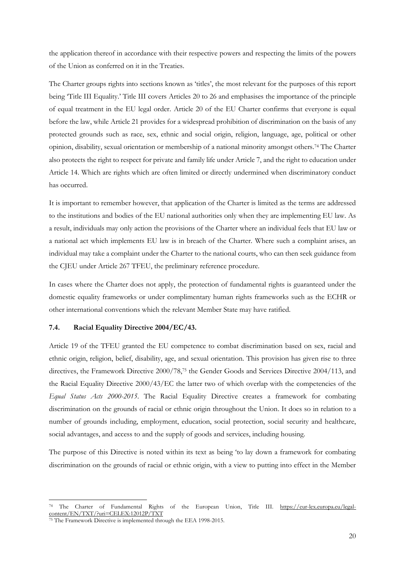the application thereof in accordance with their respective powers and respecting the limits of the powers of the Union as conferred on it in the Treaties.

The Charter groups rights into sections known as 'titles', the most relevant for the purposes of this report being 'Title III Equality.' Title III covers Articles 20 to 26 and emphasises the importance of the principle of equal treatment in the EU legal order. Article 20 of the EU Charter confirms that everyone is equal before the law, while Article 21 provides for a widespread prohibition of discrimination on the basis of any protected grounds such as race, sex, ethnic and social origin, religion, language, age, political or other opinion, disability, sexual orientation or membership of a national minority amongst others. <sup>74</sup> The Charter also protects the right to respect for private and family life under Article 7, and the right to education under Article 14. Which are rights which are often limited or directly undermined when discriminatory conduct has occurred.

It is important to remember however, that application of the Charter is limited as the terms are addressed to the institutions and bodies of the EU national authorities only when they are implementing EU law. As a result, individuals may only action the provisions of the Charter where an individual feels that EU law or a national act which implements EU law is in breach of the Charter. Where such a complaint arises, an individual may take a complaint under the Charter to the national courts, who can then seek guidance from the CJEU under Article 267 TFEU, the preliminary reference procedure.

In cases where the Charter does not apply, the protection of fundamental rights is guaranteed under the domestic equality frameworks or under complimentary human rights frameworks such as the ECHR or other international conventions which the relevant Member State may have ratified.

#### **7.4. Racial Equality Directive 2004/EC/43.**

Article 19 of the TFEU granted the EU competence to combat discrimination based on sex, racial and ethnic origin, religion, belief, disability, age, and sexual orientation. This provision has given rise to three directives, the Framework Directive 2000/78, <sup>75</sup> the Gender Goods and Services Directive 2004/113, and the Racial Equality Directive 2000/43/EC the latter two of which overlap with the competencies of the *Equal Status Acts 2000-2015*. The Racial Equality Directive creates a framework for combating discrimination on the grounds of racial or ethnic origin throughout the Union. It does so in relation to a number of grounds including, employment, education, social protection, social security and healthcare, social advantages, and access to and the supply of goods and services, including housing.

The purpose of this Directive is noted within its text as being 'to lay down a framework for combating discrimination on the grounds of racial or ethnic origin, with a view to putting into effect in the Member

<sup>74</sup> The Charter of Fundamental Rights of the European Union, Title III. [https://eur-lex.europa.eu/legal](https://eur-lex.europa.eu/legal-content/EN/TXT/?uri=CELEX:12012P/TXT)[content/EN/TXT/?uri=CELEX:12012P/TXT](https://eur-lex.europa.eu/legal-content/EN/TXT/?uri=CELEX:12012P/TXT)

<sup>75</sup> The Framework Directive is implemented through the EEA 1998-2015.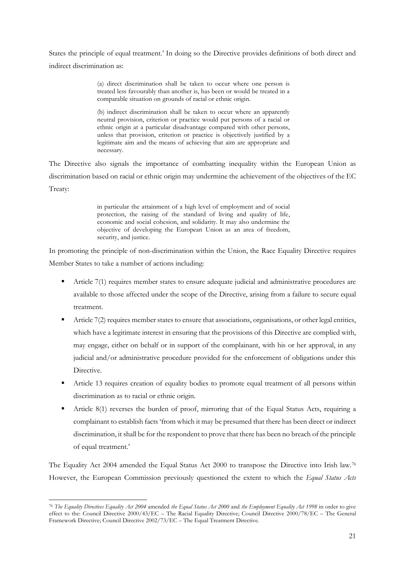States the principle of equal treatment.' In doing so the Directive provides definitions of both direct and indirect discrimination as:

> (a) direct discrimination shall be taken to occur where one person is treated less favourably than another is, has been or would be treated in a comparable situation on grounds of racial or ethnic origin.

> (b) indirect discrimination shall be taken to occur where an apparently neutral provision, criterion or practice would put persons of a racial or ethnic origin at a particular disadvantage compared with other persons, unless that provision, criterion or practice is objectively justified by a legitimate aim and the means of achieving that aim are appropriate and necessary.

The Directive also signals the importance of combatting inequality within the European Union as discrimination based on racial or ethnic origin may undermine the achievement of the objectives of the EC Treaty:

> in particular the attainment of a high level of employment and of social protection, the raising of the standard of living and quality of life, economic and social cohesion, and solidarity. It may also undermine the objective of developing the European Union as an area of freedom, security, and justice.

In promoting the principle of non-discrimination within the Union, the Race Equality Directive requires Member States to take a number of actions including:

- Article 7(1) requires member states to ensure adequate judicial and administrative procedures are available to those affected under the scope of the Directive, arising from a failure to secure equal treatment.
- Article 7(2) requires member states to ensure that associations, organisations, or other legal entities, which have a legitimate interest in ensuring that the provisions of this Directive are complied with, may engage, either on behalf or in support of the complainant, with his or her approval, in any judicial and/or administrative procedure provided for the enforcement of obligations under this Directive.
- Article 13 requires creation of equality bodies to promote equal treatment of all persons within discrimination as to racial or ethnic origin.
- Article 8(1) reverses the burden of proof, mirroring that of the Equal Status Acts, requiring a complainant to establish facts 'from which it may be presumed that there has been direct or indirect discrimination, it shall be for the respondent to prove that there has been no breach of the principle of equal treatment.'

The Equality Act 2004 amended the Equal Status Act 2000 to transpose the Directive into Irish law.<sup>76</sup> However, the European Commission previously questioned the extent to which the *Equal Status Acts* 

<sup>76</sup> *The Equality Directives Equality Act 2004* amended *the Equal Status Act 2000* and *the Employment Equality Act 1998* in order to give effect to the: Council Directive 2000/43/EC – The Racial Equality Directive; Council Directive 2000/78/EC – The General Framework Directive; Council Directive 2002/73/EC – The Equal Treatment Directive.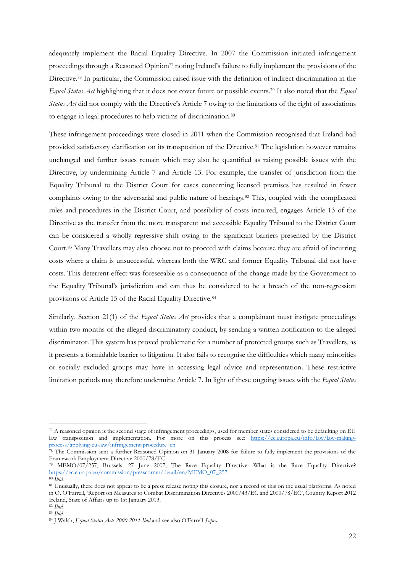adequately implement the Racial Equality Directive. In 2007 the Commission initiated infringement proceedings through a Reasoned Opinion<sup>77</sup> noting Ireland's failure to fully implement the provisions of the Directive. <sup>78</sup> In particular, the Commission raised issue with the definition of indirect discrimination in the *Equal Status Act* highlighting that it does not cover future or possible events.<sup>79</sup> It also noted that the *Equal Status Act* did not comply with the Directive's Article 7 owing to the limitations of the right of associations to engage in legal procedures to help victims of discrimination.<sup>80</sup>

These infringement proceedings were closed in 2011 when the Commission recognised that Ireland had provided satisfactory clarification on its transposition of the Directive. <sup>81</sup> The legislation however remains unchanged and further issues remain which may also be quantified as raising possible issues with the Directive, by undermining Article 7 and Article 13. For example, the transfer of jurisdiction from the Equality Tribunal to the District Court for cases concerning licensed premises has resulted in fewer complaints owing to the adversarial and public nature of hearings.<sup>82</sup> This, coupled with the complicated rules and procedures in the District Court, and possibility of costs incurred, engages Article 13 of the Directive as the transfer from the more transparent and accessible Equality Tribunal to the District Court can be considered a wholly regressive shift owing to the significant barriers presented by the District Court. <sup>83</sup> Many Travellers may also choose not to proceed with claims because they are afraid of incurring costs where a claim is unsuccessful, whereas both the WRC and former Equality Tribunal did not have costs. This deterrent effect was foreseeable as a consequence of the change made by the Government to the Equality Tribunal's jurisdiction and can thus be considered to be a breach of the non-regression provisions of Article 15 of the Racial Equality Directive.<sup>84</sup>

Similarly, Section 21(1) of the *Equal Status Act* provides that a complainant must instigate proceedings within two months of the alleged discriminatory conduct, by sending a written notification to the alleged discriminator. This system has proved problematic for a number of protected groups such as Travellers, as it presents a formidable barrier to litigation. It also fails to recognise the difficulties which many minorities or socially excluded groups may have in accessing legal advice and representation. These restrictive limitation periods may therefore undermine Article 7. In light of these ongoing issues with the *Equal Status* 

<sup>77</sup> A reasoned opinion is the second stage of infringement proceedings, used for member states considered to be defaulting on EU law transposition and implementation. For more on this process see: [https://ec.europa.eu/info/law/law-making](https://ec.europa.eu/info/law/law-making-process/applying-eu-law/infringement-procedure_en)[process/applying-eu-law/infringement-procedure\\_en](https://ec.europa.eu/info/law/law-making-process/applying-eu-law/infringement-procedure_en)

<sup>&</sup>lt;sup>78</sup> The Commission sent a further Reasoned Opinion on 31 January 2008 for failure to fully implement the provisions of the Framework Employment Directive 2000/78/EC

<sup>79</sup> MEMO/07/257, Brussels, 27 June 2007, The Race Equality Directive: What is the Race Equality Directive? [https://ec.europa.eu/commission/presscorner/detail/en/MEMO\\_07\\_257](https://ec.europa.eu/commission/presscorner/detail/en/MEMO_07_257)

<sup>80</sup> *Ibid.* 

<sup>81</sup> Unusually, there does not appear to be a press release noting this closure, nor a record of this on the usual platforms. As noted in O. O'Farrell, 'Report on Measures to Combat Discrimination Directives 2000/43/EC and 2000/78/EC', Country Report 2012 Ireland, State of Affairs up to 1st January 2013.

<sup>82</sup> *Ibid.* <sup>83</sup> *Ibid.*

<sup>84</sup> J Walsh, *Equal Status Acts 2000-2011 Ibid* and see also O'Farrell *Supra.*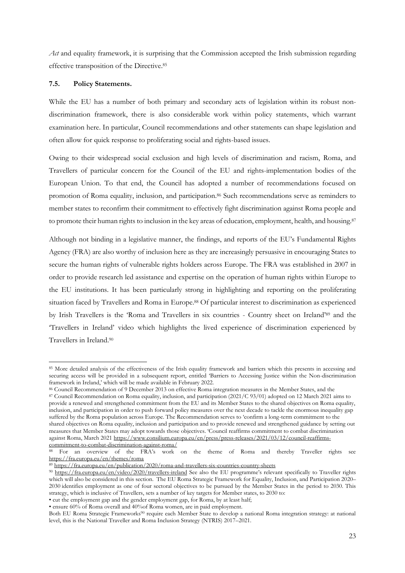*Act* and equality framework, it is surprising that the Commission accepted the Irish submission regarding effective transposition of the Directive. 85

## **7.5. Policy Statements.**

While the EU has a number of both primary and secondary acts of legislation within its robust nondiscrimination framework, there is also considerable work within policy statements, which warrant examination here. In particular, Council recommendations and other statements can shape legislation and often allow for quick response to proliferating social and rights-based issues.

Owing to their widespread social exclusion and high levels of discrimination and racism, Roma, and Travellers of particular concern for the Council of the EU and rights-implementation bodies of the European Union. To that end, the Council has adopted a number of recommendations focused on promotion of Roma equality, inclusion, and participation.<sup>86</sup> Such recommendations serve as reminders to member states to reconfirm their commitment to effectively fight discrimination against Roma people and to promote their human rights to inclusion in the key areas of education, employment, health, and housing.<sup>87</sup>

Although not binding in a legislative manner, the findings, and reports of the EU's Fundamental Rights Agency (FRA) are also worthy of inclusion here as they are increasingly persuasive in encouraging States to secure the human rights of vulnerable rights holders across Europe. The FRA was established in 2007 in order to provide research led assistance and expertise on the operation of human rights within Europe to the EU institutions. It has been particularly strong in highlighting and reporting on the proliferating situation faced by Travellers and Roma in Europe.<sup>88</sup> Of particular interest to discrimination as experienced by Irish Travellers is the 'Roma and Travellers in six countries - Country sheet on Ireland'<sup>89</sup> and the 'Travellers in Ireland' video which highlights the lived experience of discrimination experienced by Travellers in Ireland.<sup>90</sup>

<sup>85</sup> More detailed analysis of the effectiveness of the Irish equality framework and barriers which this presents in accessing and securing access will be provided in a subsequent report, entitled 'Barriers to Accessing Justice within the Non-discrimination framework in Ireland,' which will be made available in February 2022.

<sup>86</sup> Council Recommendation of 9 December 2013 on effective Roma integration measures in the Member States, and the

<sup>87</sup> Council Recommendation on Roma equality, inclusion, and participation (2021/C 93/01) adopted on 12 March 2021 aims to provide a renewed and strengthened commitment from the EU and its Member States to the shared objectives on Roma equality, inclusion, and participation in order to push forward policy measures over the next decade to tackle the enormous inequality gap suffered by the Roma population across Europe. The Recommendation serves to 'confirm a long-term commitment to the shared objectives on Roma equality, inclusion and participation and to provide renewed and strengthened guidance by setting out measures that Member States may adopt towards those objectives. 'Council reaffirms commitment to combat discrimination against Roma, March 2021 [https://www.consilium.europa.eu/en/press/press-releases/2021/03/12/council-reaffirms](https://www.consilium.europa.eu/en/press/press-releases/2021/03/12/council-reaffirms-commitment-to-combat-discrimination-against-roma/)[commitment-to-combat-discrimination-against-roma/](https://www.consilium.europa.eu/en/press/press-releases/2021/03/12/council-reaffirms-commitment-to-combat-discrimination-against-roma/)

<sup>88</sup> For an overview of the FRA's work on the theme of Roma and thereby Traveller rights see <https://fra.europa.eu/en/themes/roma>

<sup>89</sup> <https://fra.europa.eu/en/publication/2020/roma-and-travellers-six-countries-country-sheets>

<sup>90</sup> <https://fra.europa.eu/en/video/2020/travellers-ireland> See also the EU programme's relevant specifically to Traveller rights which will also be considered in this section. The EU Roma Strategic Framework for Equality, Inclusion, and Participation 2020– 2030 identifies employment as one of four sectoral objectives to be pursued by the Member States in the period to 2030. This strategy, which is inclusive of Travellers, sets a number of key targets for Member states, to 2030 to:

<sup>•</sup> cut the employment gap and the gender employment gap, for Roma, by at least half;

<sup>•</sup> ensure 60% of Roma overall and 40%of Roma women, are in paid employment.

Both EU Roma Strategic Frameworks<sup>90</sup> require each Member State to develop a national Roma integration strategy: at national level, this is the National Traveller and Roma Inclusion Strategy (NTRIS) 2017–2021.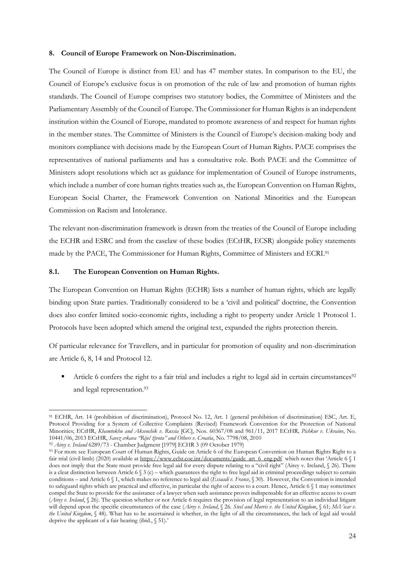#### **8. Council of Europe Framework on Non-Discrimination.**

The Council of Europe is distinct from EU and has 47 member states. In comparison to the EU, the Council of Europe's exclusive focus is on promotion of the rule of law and promotion of human rights standards. The Council of Europe comprises two statutory bodies, the Committee of Ministers and the Parliamentary Assembly of the Council of Europe. The Commissioner for Human Rights is an independent institution within the Council of Europe, mandated to promote awareness of and respect for human rights in the member states. The Committee of Ministers is the Council of Europe's decision-making body and monitors compliance with decisions made by the European Court of Human Rights. PACE comprises the representatives of national parliaments and has a consultative role. Both PACE and the Committee of Ministers adopt resolutions which act as guidance for implementation of Council of Europe instruments, which include a number of core human rights treaties such as, the European Convention on Human Rights, European Social Charter, the Framework Convention on National Minorities and the European Commission on Racism and Intolerance.

The relevant non-discrimination framework is drawn from the treaties of the Council of Europe including the ECHR and ESRC and from the caselaw of these bodies (ECtHR, ECSR) alongside policy statements made by the PACE, The Commissioner for Human Rights, Committee of Ministers and ECRI.<sup>91</sup>

#### **8.1. The European Convention on Human Rights.**

The European Convention on Human Rights (ECHR) lists a number of human rights, which are legally binding upon State parties. Traditionally considered to be a 'civil and political' doctrine, the Convention does also confer limited socio-economic rights, including a right to property under Article 1 Protocol 1. Protocols have been adopted which amend the original text, expanded the rights protection therein.

Of particular relevance for Travellers, and in particular for promotion of equality and non-discrimination are Article 6, 8, 14 and Protocol 12.

■ Article 6 confers the right to a fair trial and includes a right to legal aid in certain circumstances<sup>92</sup> and legal representation.<sup>93</sup>

<sup>91</sup> ECHR, Art. 14 (prohibition of discrimination), Protocol No. 12, Art. 1 (general prohibition of discrimination) ESC, Art. E, Protocol Providing for a System of Collective Complaints (Revised) Framework Convention for the Protection of National Minorities; ECtHR, *Khamtokhu and Aksenchik v. Russia* [GC], Nos. 60367/08 and 961/11, 2017 ECtHR*, Pichkur v. Ukraine*, No. 10441/06, 2013 ECtHR, *Savez crkava "Riječ života" and Others v. Croatia*, No. 7798/08, 2010

<sup>92</sup> *Airey v. Ireland* 6289/73 - Chamber Judgment [1979] ECHR 3 (09 October 1979)

<sup>93</sup> For more see European Court of Human Rights, Guide on Article 6 of the European Convention on Human Rights Right to a fair trial (civil limb) (2020) available at [https://www.echr.coe.int/documents/guide\\_art\\_6\\_eng.pdf](https://www.echr.coe.int/documents/guide_art_6_eng.pdf) which notes that 'Article 6 § 1 does not imply that the State must provide free legal aid for every dispute relating to a "civil right" (Airey v. Ireland, § 26). There is a clear distinction between Article 6 § 3 (c) – which guarantees the right to free legal aid in criminal proceedings subject to certain conditions – and Article 6 § 1, which makes no reference to legal aid (*Essaadi v. France*, § 30). However, the Convention is intended to safeguard rights which are practical and effective, in particular the right of access to a court. Hence, Article 6 § 1 may sometimes compel the State to provide for the assistance of a lawyer when such assistance proves indispensable for an effective access to court (*Airey v. Ireland*, § 26). The question whether or not Article 6 requires the provision of legal representation to an individual litigant will depend upon the specific circumstances of the case (*Airey v. Ireland*, § 26*. Steel and Morris v. the United Kingdom*, § 61; *McVicar v. the United Kingdom*, § 48). What has to be ascertained is whether, in the light of all the circumstances, the lack of legal aid would deprive the applicant of a fair hearing (ibid., § 51).'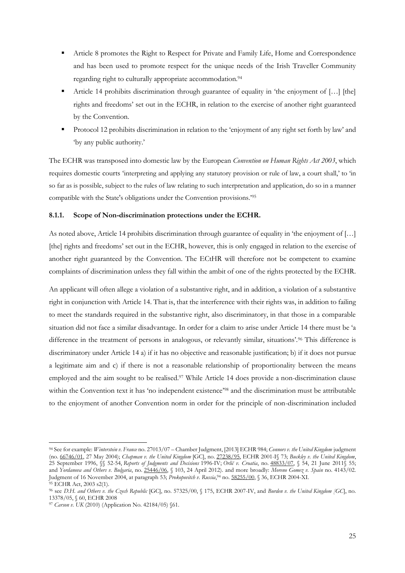- Article 8 promotes the Right to Respect for Private and Family Life, Home and Correspondence and has been used to promote respect for the unique needs of the Irish Traveller Community regarding right to culturally appropriate accommodation.<sup>94</sup>
- Article 14 prohibits discrimination through guarantee of equality in 'the enjoyment of [...] [the] rights and freedoms' set out in the ECHR, in relation to the exercise of another right guaranteed by the Convention.
- Protocol 12 prohibits discrimination in relation to the 'enjoyment of any right set forth by law' and 'by any public authority.'

The ECHR was transposed into domestic law by the European *Convention on Human Rights Act 2003*, which requires domestic courts 'interpreting and applying any statutory provision or rule of law, a court shall,' to 'in so far as is possible, subject to the rules of law relating to such interpretation and application, do so in a manner compatible with the State's obligations under the Convention provisions.'<sup>95</sup>

# **8.1.1. Scope of Non-discrimination protections under the ECHR.**

As noted above, Article 14 prohibits discrimination through guarantee of equality in 'the enjoyment of […] [the] rights and freedoms' set out in the ECHR, however, this is only engaged in relation to the exercise of another right guaranteed by the Convention. The ECtHR will therefore not be competent to examine complaints of discrimination unless they fall within the ambit of one of the rights protected by the ECHR.

An applicant will often allege a violation of a substantive right, and in addition, a violation of a substantive right in conjunction with Article 14. That is, that the interference with their rights was, in addition to failing to meet the standards required in the substantive right, also discriminatory, in that those in a comparable situation did not face a similar disadvantage. In order for a claim to arise under Article 14 there must be 'a difference in the treatment of persons in analogous, or relevantly similar, situations'.<sup>96</sup> This difference is discriminatory under Article 14 a) if it has no objective and reasonable justification; b) if it does not pursue a legitimate aim and c) if there is not a reasonable relationship of proportionality between the means employed and the aim sought to be realised.<sup>97</sup> While Article 14 does provide a non-discrimination clause within the Convention text it has 'no independent existence'<sup>98</sup> and the discrimination must be attributable to the enjoyment of another Convention norm in order for the principle of non-discrimination included

<sup>94</sup> See for example: *Winterstein v. France* no. 27013/07 – Chamber Judgment, [2013] ECHR 984; *Connors v. the United Kingdom* judgment (no. [66746/01,](https://hudoc.echr.coe.int/eng#{%22appno%22:[%2266746/01%22]}) 27 May 2004); *Chapman v. the United Kingdom* [GC], no. [27238/95,](https://hudoc.echr.coe.int/eng#{%22appno%22:[%2227238/95%22]}) ECHR 2001-I§ 73; *Buckley v. the United Kingdom*, 25 September 1996, §§ 52-54, *Reports of Judgments and Decisions* 1996-IV; *Orlić v. Croatia*, no. [48833/07,](https://hudoc.echr.coe.int/eng#{%22appno%22:[%2248833/07%22]}) § 54, 21 June 2011§ 55; and *Yordanova and Others v. Bulgaria*, no. [25446/06,](https://hudoc.echr.coe.int/eng#{%22appno%22:[%2225446/06%22]}) § 103, 24 April 2012). and more broadly: *Moreno Gomez v. Spain* no. 4143/02. Judgment of 16 November 2004, at paragraph 53; *Prokopovitch v. Russia*, <sup>94</sup> no. [58255/00,](https://hudoc.echr.coe.int/eng#{%22appno%22:[%2258255/00%22]}) § 36, ECHR 2004-XI. <sup>95</sup> ECHR Act, 2003 s2(1).

<sup>96</sup> see *D.H. and Others v. the Czech Republic* [GC], no. 57325/00, § 175, ECHR 2007-IV, and *Burden v. the United Kingdom [GC*], no. 13378/05, § 60, ECHR 2008

<sup>97</sup> *Carson v. UK* (2010) (Application No. 42184/05) §61.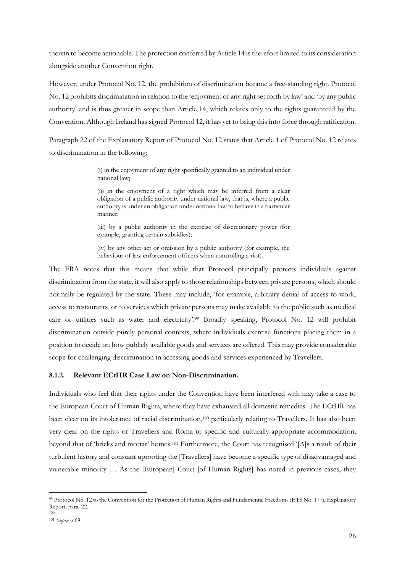therein to become actionable. The protection conferred by Article 14 is therefore limited to its consideration alongside another Convention right.

However, under Protocol No. 12, the prohibition of discrimination became a free-standing right. Protocol No. 12 prohibits discrimination in relation to the 'enjoyment of any right set forth by law' and 'by any public authority' and is thus greater in scope than Article 14, which relates only to the rights guaranteed by the Convention. Although Ireland has signed Protocol 12, it has yet to bring this into force through ratification.

Paragraph 22 of the Explanatory Report of Protocol No. 12 states that Article 1 of Protocol No. 12 relates to discrimination in the following:

> (i) in the enjoyment of any right specifically granted to an individual under national law;

> (ii) in the enjoyment of a right which may be inferred from a clear obligation of a public authority under national law, that is, where a public authority is under an obligation under national law to behave in a particular manner;

> (iii) by a public authority in the exercise of discretionary power (for example, granting certain subsidies);

> (iv) by any other act or omission by a public authority (for example, the behaviour of law enforcement officers when controlling a riot).

The FRA notes that this means that while that Protocol principally protects individuals against discrimination from the state, it will also apply to those relationships between private persons, which should normally be regulated by the state. These may include, 'for example, arbitrary denial of access to work, access to restaurants, or to services which private persons may make available to the public such as medical care or utilities such as water and electricity'.<sup>99</sup> Broadly speaking, Protocol No. 12 will prohibit discrimination outside purely personal contexts, where individuals exercise functions placing them in a position to decide on how publicly available goods and services are offered. This may provide considerable scope for challenging discrimination in accessing goods and services experienced by Travellers.

#### **8.1.2. Relevant ECtHR Case Law on Non-Discrimination.**

Individuals who feel that their rights under the Convention have been interfered with may take a case to the European Court of Human Rights, where they have exhausted all domestic remedies. The ECtHR has been clear on its intolerance of racial discrimination,<sup>100</sup> particularly relating to Travellers. It has also been very clear on the rights of Travellers and Roma to specific and culturally-appropriate accommodation, beyond that of 'bricks and mortar' homes.<sup>101</sup> Furthermore, the Court has recognised '[A]s a result of their turbulent history and constant uprooting the [Travellers] have become a specific type of disadvantaged and vulnerable minority … As the [European] Court [of Human Rights] has noted in previous cases, they

100

<sup>99</sup> Protocol No. 12 to the Convention for the Protection of Human Rights and Fundamental Freedoms (ETS No. 177), Explanatory Report, para. 22.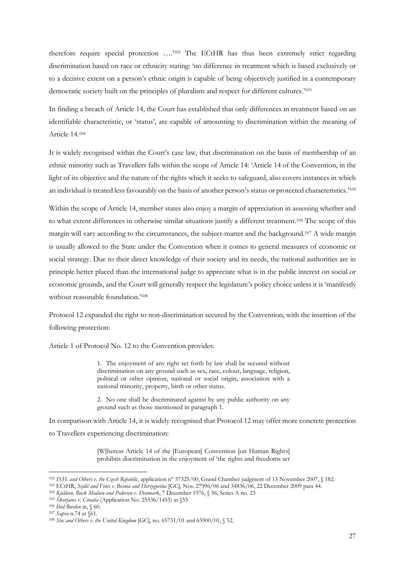therefore require special protection ….' <sup>102</sup> The ECtHR has thus been extremely strict regarding discrimination based on race or ethnicity stating: 'no difference in treatment which is based exclusively or to a decisive extent on a person's ethnic origin is capable of being objectively justified in a contemporary democratic society built on the principles of pluralism and respect for different cultures.' 103

In finding a breach of Article 14, the Court has established that only differences in treatment based on an identifiable characteristic, or 'status', are capable of amounting to discrimination within the meaning of Article 14. 104

It is widely recognised within the Court's case law, that discrimination on the basis of membership of an ethnic minority such as Travellers falls within the scope of Article 14: 'Article 14 of the Convention, in the light of its objective and the nature of the rights which it seeks to safeguard, also covers instances in which an individual is treated less favourably on the basis of another person's status or protected characteristics.'<sup>105</sup>

Within the scope of Article 14, member states also enjoy a margin of appreciation in assessing whether and to what extent differences in otherwise similar situations justify a different treatment. <sup>106</sup> The scope of this margin will vary according to the circumstances, the subject-matter and the background.<sup>107</sup> A wide margin is usually allowed to the State under the Convention when it comes to general measures of economic or social strategy. Due to their direct knowledge of their society and its needs, the national authorities are in principle better placed than the international judge to appreciate what is in the public interest on social or economic grounds, and the Court will generally respect the legislature's policy choice unless it is 'manifestly without reasonable foundation.'<sup>108</sup>

Protocol 12 expanded the right to non-discrimination secured by the Convention, with the insertion of the following protection:

Article 1 of Protocol No. 12 to the Convention provides:

1. The enjoyment of any right set forth by law shall be secured without discrimination on any ground such as sex, race, colour, language, religion, political or other opinion, national or social origin, association with a national minority, property, birth or other status.

2. No one shall be discriminated against by any public authority on any ground such as those mentioned in paragraph 1.

In comparison with Article 14, it is widely recognised that Protocol 12 may offer more concrete protection to Travellers experiencing discrimination:

> [W]hereas Article 14 of the [European] Convention [on Human Rights] prohibits discrimination in the enjoyment of 'the rights and freedoms set

<sup>102</sup> *D.H. and Others v. the Czech Republic*, application n° 57325/00, Grand Chamber judgment of 13 November 2007, § 182.

<sup>103</sup> ECtHR, *Sejdić and Finci v. Bosnia and Herzegovina* [GC]*,* Nos. 27996/06 and 34836/06, 22 December 2009 para 44.

<sup>104</sup> *Kjeldsen, Busk Madsen and Pedersen v. Denmark*, 7 December 1976, § 56, Series A no. 23

<sup>105</sup> *Škorjanec v. Croatia* (Application No. 25536/1455) at §55

<sup>106</sup> *Ibid Burden* at, § 60. <sup>107</sup> *Supra* n.74 at §61.

<sup>108</sup> *Stec and Others v. the United Kingdom* [GC], no. 65731/01 and 65900/01, § 52.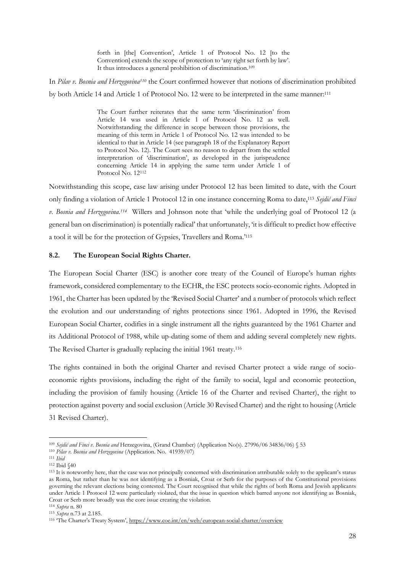forth in [the] Convention', Article 1 of Protocol No. 12 [to the Convention] extends the scope of protection to 'any right set forth by law'. It thus introduces a general prohibition of discrimination.<sup>109</sup>

In *Pilav v. Bosnia and Herzegovina<sup>110</sup>* the Court confirmed however that notions of discrimination prohibited by both Article 14 and Article 1 of Protocol No. 12 were to be interpreted in the same manner:<sup>111</sup>

> The Court further reiterates that the same term 'discrimination' from Article 14 was used in Article 1 of Protocol No. 12 as well. Notwithstanding the difference in scope between those provisions, the meaning of this term in Article 1 of Protocol No. 12 was intended to be identical to that in Article 14 (see paragraph 18 of the Explanatory Report to Protocol No. 12). The Court sees no reason to depart from the settled interpretation of 'discrimination', as developed in the jurisprudence concerning Article 14 in applying the same term under Article 1 of Protocol No. 12<sup>112</sup>

Notwithstanding this scope, case law arising under Protocol 12 has been limited to date, with the Court only finding a violation of Article 1 Protocol 12 in one instance concerning Roma to date, <sup>113</sup> *Sejdić and Finci v. Bosnia and Herzegovina. <sup>114</sup>* Willers and Johnson note that 'while the underlying goal of Protocol 12 (a general ban on discrimination) is potentially radical' that unfortunately, 'it is difficult to predict how effective a tool it will be for the protection of Gypsies, Travellers and Roma.'<sup>115</sup>

#### **8.2. The European Social Rights Charter.**

The European Social Charter (ESC) is another core treaty of the Council of Europe's human rights framework, considered complementary to the ECHR, the ESC protects socio-economic rights. Adopted in 1961, the Charter has been updated by the 'Revised Social Charter' and a number of protocols which reflect the evolution and our understanding of rights protections since 1961. Adopted in 1996, the Revised European Social Charter, codifies in a single instrument all the rights guaranteed by the 1961 Charter and its Additional Protocol of 1988, while up-dating some of them and adding several completely new rights. The Revised Charter is gradually replacing the initial 1961 treaty.<sup>116</sup>

The rights contained in both the original Charter and revised Charter protect a wide range of socioeconomic rights provisions, including the right of the family to social, legal and economic protection, including the provision of family housing (Article 16 of the Charter and revised Charter), the right to protection against poverty and social exclusion (Article 30 Revised Charter) and the right to housing (Article 31 Revised Charter).

<sup>109</sup> *Sejdić and Finci v. Bosnia and* Herzegovina, (Grand Chamber) (Application No(s). 27996/06 34836/06) § 53

<sup>110</sup> *Pilav v. Bosnia and Herzegovina* (Application. No. 41939/07)

<sup>111</sup> *Ibid*

<sup>112</sup> Ibid §40

<sup>113</sup> It is noteworthy here, that the case was not principally concerned with discrimination attributable solely to the applicant's status as Roma, but rather than he was not identifying as a Bosniak, Croat or Serb for the purposes of the Constitutional provisions governing the relevant elections being contested. The Court recognised that while the rights of both Roma and Jewish applicants under Article 1 Protocol 12 were particularly violated, that the issue in question which barred anyone not identifying as Bosniak, Croat or Serb more broadly was the core issue creating the violation.

<sup>114</sup> *Supra* n. 80

<sup>115</sup> *Supra* n.73 at 2.185.

<sup>116</sup> 'The Charter's Treaty System', <https://www.coe.int/en/web/european-social-charter/overview>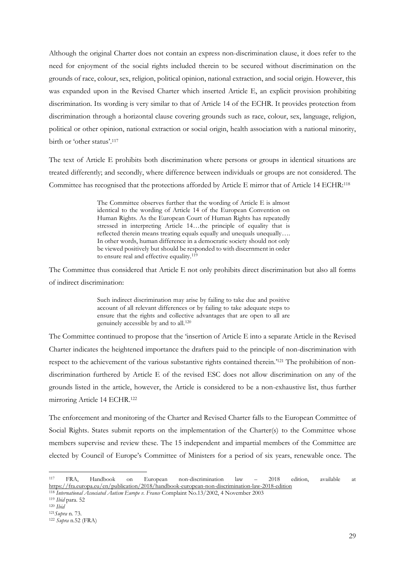Although the original Charter does not contain an express non-discrimination clause, it does refer to the need for enjoyment of the social rights included therein to be secured without discrimination on the grounds of race, colour, sex, religion, political opinion, national extraction, and social origin. However, this was expanded upon in the Revised Charter which inserted Article E, an explicit provision prohibiting discrimination. Its wording is very similar to that of Article 14 of the ECHR. It provides protection from discrimination through a horizontal clause covering grounds such as race, colour, sex, language, religion, political or other opinion, national extraction or social origin, health association with a national minority, birth or 'other status'.<sup>117</sup>

The text of Article E prohibits both discrimination where persons or groups in identical situations are treated differently; and secondly, where difference between individuals or groups are not considered. The Committee has recognised that the protections afforded by Article E mirror that of Article 14 ECHR:<sup>118</sup>

> The Committee observes further that the wording of Article E is almost identical to the wording of Article 14 of the European Convention on Human Rights. As the European Court of Human Rights has repeatedly stressed in interpreting Article 14…the principle of equality that is reflected therein means treating equals equally and unequals unequally…. In other words, human difference in a democratic society should not only be viewed positively but should be responded to with discernment in order to ensure real and effective equality.<sup>119</sup>

The Committee thus considered that Article E not only prohibits direct discrimination but also all forms of indirect discrimination:

> Such indirect discrimination may arise by failing to take due and positive account of all relevant differences or by failing to take adequate steps to ensure that the rights and collective advantages that are open to all are genuinely accessible by and to all.<sup>120</sup>

The Committee continued to propose that the 'insertion of Article E into a separate Article in the Revised Charter indicates the heightened importance the drafters paid to the principle of non-discrimination with respect to the achievement of the various substantive rights contained therein.' <sup>121</sup> The prohibition of nondiscrimination furthered by Article E of the revised ESC does not allow discrimination on any of the grounds listed in the article, however, the Article is considered to be a non-exhaustive list, thus further mirroring Article 14 ECHR.<sup>122</sup>

The enforcement and monitoring of the Charter and Revised Charter falls to the European Committee of Social Rights. States submit reports on the implementation of the Charter(s) to the Committee whose members supervise and review these. The 15 independent and impartial members of the Committee are elected by Council of Europe's Committee of Ministers for a period of six years, renewable once. The

<sup>117</sup> FRA, Handbook on European non-discrimination law – 2018 edition, available at <https://fra.europa.eu/en/publication/2018/handbook-european-non-discrimination-law-2018-edition>

<sup>118</sup> *International Associated Autism Europe v. France* Complaint No.13/2002, 4 November 2003

<sup>119</sup> *Ibid* para. 52

<sup>120</sup> *Ibid*

<sup>121</sup>*Supra* n. 73. <sup>122</sup> *Supra* n.52 (FRA)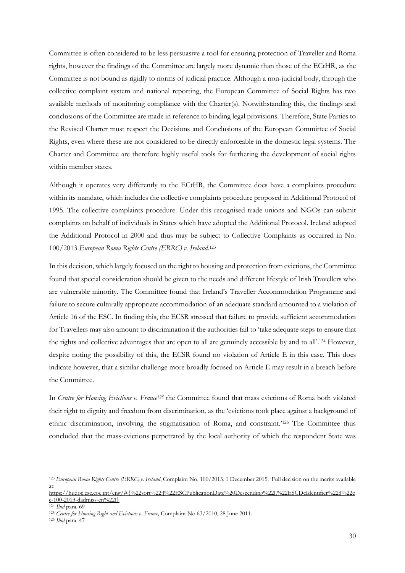Committee is often considered to be less persuasive a tool for ensuring protection of Traveller and Roma rights, however the findings of the Committee are largely more dynamic than those of the ECtHR, as the Committee is not bound as rigidly to norms of judicial practice. Although a non-judicial body, through the collective complaint system and national reporting, the European Committee of Social Rights has two available methods of monitoring compliance with the Charter(s). Notwithstanding this, the findings and conclusions of the Committee are made in reference to binding legal provisions. Therefore, State Parties to the Revised Charter must respect the Decisions and Conclusions of the European Committee of Social Rights, even where these are not considered to be directly enforceable in the domestic legal systems. The Charter and Committee are therefore highly useful tools for furthering the development of social rights within member states.

Although it operates very differently to the ECtHR, the Committee does have a complaints procedure within its mandate, which includes the collective complaints procedure proposed in Additional Protocol of 1995. The collective complaints procedure. Under this recognised trade unions and NGOs can submit complaints on behalf of individuals in States which have adopted the Additional Protocol. Ireland adopted the Additional Protocol in 2000 and thus may be subject to Collective Complaints as occurred in No. 100/2013 *European Roma Rights Centre (ERRC) v. Ireland*. 123

In this decision, which largely focused on the right to housing and protection from evictions, the Committee found that special consideration should be given to the needs and different lifestyle of Irish Travellers who are vulnerable minority. The Committee found that Ireland's Traveller Accommodation Programme and failure to secure culturally appropriate accommodation of an adequate standard amounted to a violation of Article 16 of the ESC. In finding this, the ECSR stressed that failure to provide sufficient accommodation for Travellers may also amount to discrimination if the authorities fail to 'take adequate steps to ensure that the rights and collective advantages that are open to all are genuinely accessible by and to all'. <sup>124</sup> However, despite noting the possibility of this, the ECSR found no violation of Article E in this case. This does indicate however, that a similar challenge more broadly focused on Article E may result in a breach before the Committee.

In *Centre for Housing Evictions v. France<sup>125</sup>* the Committee found that mass evictions of Roma both violated their right to dignity and freedom from discrimination, as the 'evictions took place against a background of ethnic discrimination, involving the stigmatisation of Roma, and constraint.'<sup>126</sup> The Committee thus concluded that the mass-evictions perpetrated by the local authority of which the respondent State was

<sup>126</sup> *Ibid* para. 47

<sup>123</sup> *European Roma Rights Centre (ERRC) v. Ireland*, Complaint No. 100/2013, 1 December 2015. Full decision on the merits available at: [https://hudoc.esc.coe.int/eng/#{%22sort%22:\[%22ESCPublicationDate%20Descending%22\],%22ESCDcIdentifier%22:\[%22c](https://hudoc.esc.coe.int/eng/#{%22sort%22:[%22ESCPublicationDate%20Descending%22],%22ESCDcIdentifier%22:[%22cc-100-2013-dadmiss-en%22]})

[c-100-2013-dadmiss-en%22\]}](https://hudoc.esc.coe.int/eng/#{%22sort%22:[%22ESCPublicationDate%20Descending%22],%22ESCDcIdentifier%22:[%22cc-100-2013-dadmiss-en%22]})

<sup>124</sup> *Ibid* para. 69

<sup>&</sup>lt;sup>125</sup> Centre for Housing Right and Evictions v. France, Complaint No 63/2010, 28 June 2011.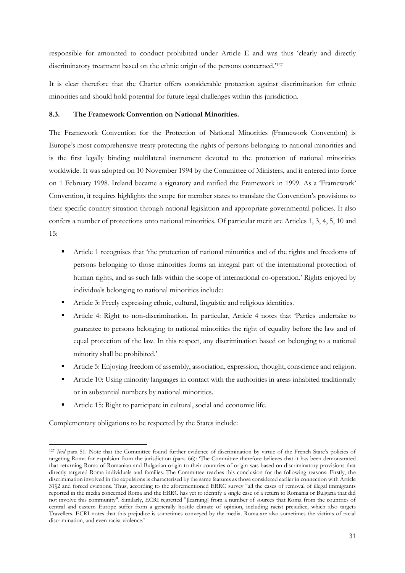responsible for amounted to conduct prohibited under Article E and was thus 'clearly and directly discriminatory treatment based on the ethnic origin of the persons concerned.'<sup>127</sup>

It is clear therefore that the Charter offers considerable protection against discrimination for ethnic minorities and should hold potential for future legal challenges within this jurisdiction.

# **8.3. The Framework Convention on National Minorities.**

The Framework Convention for the Protection of National Minorities (Framework Convention) is Europe's most comprehensive treaty protecting the rights of persons belonging to national minorities and is the first legally binding multilateral instrument devoted to the protection of national minorities worldwide. It was adopted on 10 November 1994 by the Committee of Ministers, and it entered into force on 1 February 1998. Ireland became a signatory and ratified the Framework in 1999. As a 'Framework' Convention, it requires highlights the scope for member states to translate the Convention's provisions to their specific country situation through national legislation and appropriate governmental policies. It also confers a number of protections onto national minorities. Of particular merit are Articles 1, 3, 4, 5, 10 and 15:

- Article 1 recognises that 'the protection of national minorities and of the rights and freedoms of persons belonging to those minorities forms an integral part of the international protection of human rights, and as such falls within the scope of international co-operation.' Rights enjoyed by individuals belonging to national minorities include:
- Article 3: Freely expressing ethnic, cultural, linguistic and religious identities.
- Article 4: Right to non-discrimination. In particular, Article 4 notes that 'Parties undertake to guarantee to persons belonging to national minorities the right of equality before the law and of equal protection of the law. In this respect, any discrimination based on belonging to a national minority shall be prohibited.'
- Article 5: Enjoying freedom of assembly, association, expression, thought, conscience and religion.
- Article 10: Using minority languages in contact with the authorities in areas inhabited traditionally or in substantial numbers by national minorities.
- Article 15: Right to participate in cultural, social and economic life.

Complementary obligations to be respected by the States include:

<sup>&</sup>lt;sup>127</sup> *Ibid* para 51. Note that the Committee found further evidence of discrimination by virtue of the French State's policies of targeting Roma for expulsion from the jurisdiction (para. 66): 'The Committee therefore believes that it has been demonstrated that returning Roma of Romanian and Bulgarian origin to their countries of origin was based on discriminatory provisions that directly targeted Roma individuals and families. The Committee reaches this conclusion for the following reasons: Firstly, the discrimination involved in the expulsions is characterised by the same features as those considered earlier in connection with Article 31§2 and forced evictions. Thus, according to the aforementioned ERRC survey "all the cases of removal of illegal immigrants reported in the media concerned Roma and the ERRC has yet to identify a single case of a return to Romania or Bulgaria that did not involve this community". Similarly, ECRI regretted "[learning] from a number of sources that Roma from the countries of central and eastern Europe suffer from a generally hostile climate of opinion, including racist prejudice, which also targets Travellers. ECRI notes that this prejudice is sometimes conveyed by the media. Roma are also sometimes the victims of racial discrimination, and even racist violence.'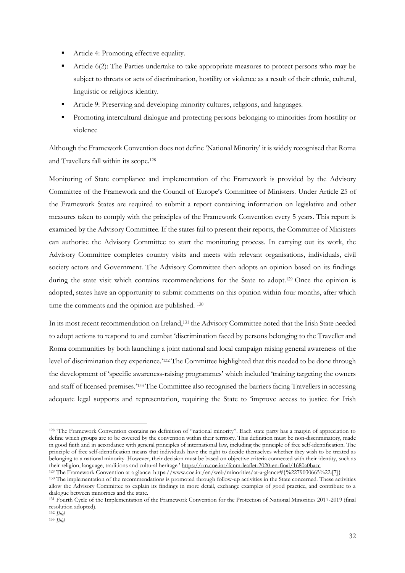- Article 4: Promoting effective equality.
- Article 6(2): The Parties undertake to take appropriate measures to protect persons who may be subject to threats or acts of discrimination, hostility or violence as a result of their ethnic, cultural, linguistic or religious identity.
- Article 9: Preserving and developing minority cultures, religions, and languages.
- Promoting intercultural dialogue and protecting persons belonging to minorities from hostility or violence

Although the Framework Convention does not define 'National Minority' it is widely recognised that Roma and Travellers fall within its scope.<sup>128</sup>

Monitoring of State compliance and implementation of the Framework is provided by the Advisory Committee of the Framework and the Council of Europe's Committee of Ministers. Under Article 25 of the Framework States are required to submit a report containing information on legislative and other measures taken to comply with the principles of the Framework Convention every 5 years. This report is examined by the Advisory Committee. If the states fail to present their reports, the Committee of Ministers can authorise the Advisory Committee to start the monitoring process. In carrying out its work, the Advisory Committee completes country visits and meets with relevant organisations, individuals, civil society actors and Government. The Advisory Committee then adopts an opinion based on its findings during the state visit which contains recommendations for the State to adopt.<sup>129</sup> Once the opinion is adopted, states have an opportunity to submit comments on this opinion within four months, after which time the comments and the opinion are published. <sup>130</sup>

In its most recent recommendation on Ireland,<sup>131</sup> the Advisory Committee noted that the Irish State needed to adopt actions to respond to and combat 'discrimination faced by persons belonging to the Traveller and Roma communities by both launching a joint national and local campaign raising general awareness of the level of discrimination they experience.'<sup>132</sup> The Committee highlighted that this needed to be done through the development of 'specific awareness-raising programmes' which included 'training targeting the owners and staff of licensed premises.'<sup>133</sup> The Committee also recognised the barriers facing Travellers in accessing adequate legal supports and representation, requiring the State to 'improve access to justice for Irish

<sup>128</sup> 'The Framework Convention contains no definition of "national minority". Each state party has a margin of appreciation to define which groups are to be covered by the convention within their territory. This definition must be non-discriminatory, made in good faith and in accordance with general principles of international law, including the principle of free self-identification. The principle of free self-identification means that individuals have the right to decide themselves whether they wish to be treated as belonging to a national minority. However, their decision must be based on objective criteria connected with their identity, such as their religion, language, traditions and cultural heritage.' <https://rm.coe.int/fcnm-leaflet-2020-en-final/1680a0bacc>

<sup>&</sup>lt;sup>129</sup> The Framework Convention at a glance: [https://www.coe.int/en/web/minorities/at-a-glance#{%2279030665%22:\[7\]}](https://www.coe.int/en/web/minorities/at-a-glance#{%2279030665%22:[7]})

<sup>130</sup> The implementation of the recommendations is promoted through follow-up activities in the State concerned. These activities allow the Advisory Committee to explain its findings in more detail, exchange examples of good practice, and contribute to a dialogue between minorities and the state.

<sup>131</sup> Fourth Cycle of the Implementation of the Framework Convention for the Protection of National Minorities 2017-2019 (final resolution adopted).

<sup>132</sup> *Ibid*

<sup>133</sup> *Ibid*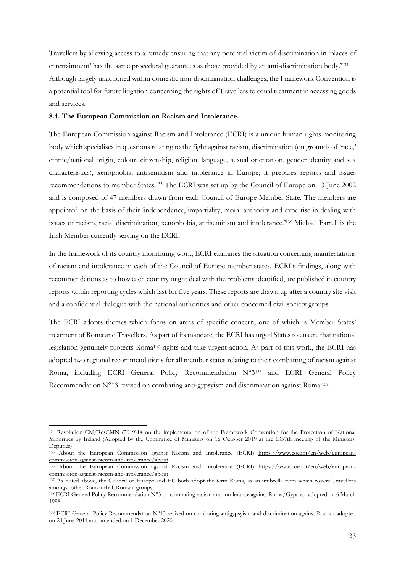Travellers by allowing access to a remedy ensuring that any potential victim of discrimination in 'places of entertainment' has the same procedural guarantees as those provided by an anti-discrimination body.'<sup>134</sup> Although largely unactioned within domestic non-discrimination challenges, the Framework Convention is a potential tool for future litigation concerning the rights of Travellers to equal treatment in accessing goods and services.

# **8.4. The European Commission on Racism and Intolerance.**

The European Commission against Racism and Intolerance (ECRI) is a unique human rights monitoring body which specialises in questions relating to the fight against racism, discrimination (on grounds of 'race,' ethnic/national origin, colour, citizenship, religion, language, sexual orientation, gender identity and sex characteristics), xenophobia, antisemitism and intolerance in Europe; it prepares reports and issues recommendations to member States.<sup>135</sup> The ECRI was set up by the Council of Europe on 13 June 2002 and is composed of 47 members drawn from each Council of Europe Member State. The members are appointed on the basis of their 'independence, impartiality, moral authority and expertise in dealing with issues of racism, racial discrimination, xenophobia, antisemitism and intolerance.' <sup>136</sup> Michael Farrell is the Irish Member currently serving on the ECRI.

In the framework of its country monitoring work, ECRI examines the situation concerning manifestations of racism and intolerance in each of the Council of Europe member states. ECRI's findings, along with recommendations as to how each country might deal with the problems identified, are published in country reports within reporting cycles which last for five years. These reports are drawn up after a country site visit and a confidential dialogue with the national authorities and other concerned civil society groups.

The ECRI adopts themes which focus on areas of specific concern, one of which is Member States' treatment of Roma and Travellers. As part of its mandate, the ECRI has urged States to ensure that national legislation genuinely protects Roma<sup>137</sup> rights and take urgent action. As part of this work, the ECRI has adopted two regional recommendations for all member states relating to their combatting of racism against Roma, including ECRI General Policy Recommendation N°3<sup>138</sup> and ECRI General Policy Recommendation N°13 revised on combating anti-gypsyism and discrimination against Roma:<sup>139</sup>

<sup>134</sup> Resolution CM/ResCMN (2019)14 on the implementation of the Framework Convention for the Protection of National Minorities by Ireland (Adopted by the Committee of Ministers on 16 October 2019 at the 1357th meeting of the Ministers' Deputies)

<sup>135</sup> About the European Commission against Racism and Intolerance (ECRI) [https://www.coe.int/en/web/european](https://www.coe.int/en/web/european-commission-against-racism-and-intolerance/about)[commission-against-racism-and-intolerance/about](https://www.coe.int/en/web/european-commission-against-racism-and-intolerance/about)*.*

<sup>136</sup> About the European Commission against Racism and Intolerance (ECRI) [https://www.coe.int/en/web/european](https://www.coe.int/en/web/european-commission-against-racism-and-intolerance/about)[commission-against-racism-and-intolerance/about](https://www.coe.int/en/web/european-commission-against-racism-and-intolerance/about)

<sup>137</sup> As noted above, the Council of Europe and EU both adopt the term Roma, as an umbrella term which covers Travellers amongst other Romanichal, Romani groups.

<sup>138</sup> ECRI General Policy Recommendation N°3 on combating racism and intolerance against Roma/Gypsies- adopted on 6 March 1998.

 $139$  ECRI General Policy Recommendation N°13 revised on combating antigypsyism and discrimination against Roma - adopted on 24 June 2011 and amended on 1 December 2020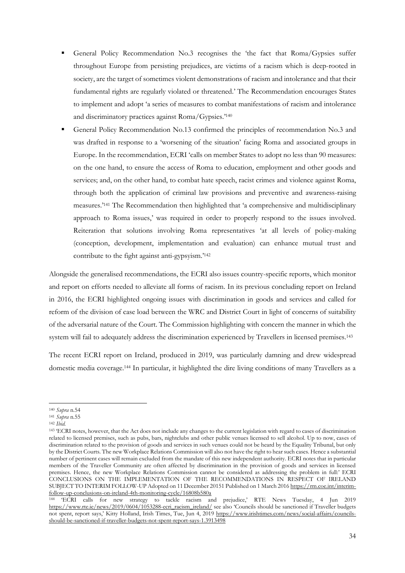- General Policy Recommendation No.3 recognises the 'the fact that Roma/Gypsies suffer throughout Europe from persisting prejudices, are victims of a racism which is deep-rooted in society, are the target of sometimes violent demonstrations of racism and intolerance and that their fundamental rights are regularly violated or threatened.' The Recommendation encourages States to implement and adopt 'a series of measures to combat manifestations of racism and intolerance and discriminatory practices against Roma/Gypsies.' 140
- General Policy Recommendation No.13 confirmed the principles of recommendation No.3 and was drafted in response to a 'worsening of the situation' facing Roma and associated groups in Europe. In the recommendation, ECRI 'calls on member States to adopt no less than 90 measures: on the one hand, to ensure the access of Roma to education, employment and other goods and services; and, on the other hand, to combat hate speech, racist crimes and violence against Roma, through both the application of criminal law provisions and preventive and awareness-raising measures.' <sup>141</sup> The Recommendation then highlighted that 'a comprehensive and multidisciplinary approach to Roma issues,' was required in order to properly respond to the issues involved. Reiteration that solutions involving Roma representatives 'at all levels of policy-making (conception, development, implementation and evaluation) can enhance mutual trust and contribute to the fight against anti-gypsyism.' 142

Alongside the generalised recommendations, the ECRI also issues country-specific reports, which monitor and report on efforts needed to alleviate all forms of racism. In its previous concluding report on Ireland in 2016, the ECRI highlighted ongoing issues with discrimination in goods and services and called for reform of the division of case load between the WRC and District Court in light of concerns of suitability of the adversarial nature of the Court. The Commission highlighting with concern the manner in which the system will fail to adequately address the discrimination experienced by Travellers in licensed premises.<sup>143</sup>

The recent ECRI report on Ireland, produced in 2019, was particularly damning and drew widespread domestic media coverage.<sup>144</sup> In particular, it highlighted the dire living conditions of many Travellers as a

<sup>140</sup> *Supra* n.54

<sup>141</sup> *Supra* n.55

<sup>142</sup> *Ibid.*

<sup>143</sup> 'ECRI notes, however, that the Act does not include any changes to the current legislation with regard to cases of discrimination related to licensed premises, such as pubs, bars, nightclubs and other public venues licensed to sell alcohol. Up to now, cases of discrimination related to the provision of goods and services in such venues could not be heard by the Equality Tribunal, but only by the District Courts. The new Workplace Relations Commission will also not have the right to hear such cases. Hence a substantial number of pertinent cases will remain excluded from the mandate of this new independent authority. ECRI notes that in particular members of the Traveller Community are often affected by discrimination in the provision of goods and services in licensed premises. Hence, the new Workplace Relations Commission cannot be considered as addressing the problem in full:' ECRI CONCLUSIONS ON THE IMPLEMENTATION OF THE RECOMMENDATIONS IN RESPECT OF IRELAND SUBJECT TO INTERIM FOLLOW-UP Adopted on 11 December 20151 Published on 1 March 201[6 https://rm.coe.int/interim](https://rm.coe.int/interim-follow-up-conclusions-on-ireland-4th-monitoring-cycle/16808b580a)[follow-up-conclusions-on-ireland-4th-monitoring-cycle/16808b580a](https://rm.coe.int/interim-follow-up-conclusions-on-ireland-4th-monitoring-cycle/16808b580a)

<sup>144</sup> 'ECRI calls for new strategy to tackle racism and prejudice,' RTE News Tuesday, 4 Jun 2019 [https://www.rte.ie/news/2019/0604/1053288-ecri\\_racism\\_ireland/](https://www.rte.ie/news/2019/0604/1053288-ecri_racism_ireland/) see also 'Councils should be sanctioned if Traveller budgets not spent, report says,' Kitty Holland, Irish Times, Tue, Jun 4, 2019 [https://www.irishtimes.com/news/social-affairs/councils](https://www.irishtimes.com/news/social-affairs/councils-should-be-sanctioned-if-traveller-budgets-not-spent-report-says-1.3913498)[should-be-sanctioned-if-traveller-budgets-not-spent-report-says-1.3913498](https://www.irishtimes.com/news/social-affairs/councils-should-be-sanctioned-if-traveller-budgets-not-spent-report-says-1.3913498)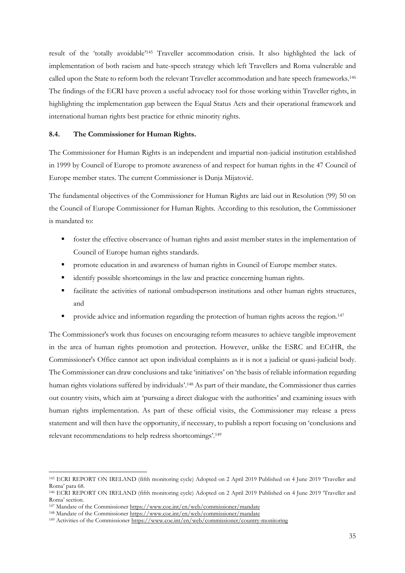result of the 'totally avoidable'<sup>145</sup> Traveller accommodation crisis. It also highlighted the lack of implementation of both racism and hate-speech strategy which left Travellers and Roma vulnerable and called upon the State to reform both the relevant Traveller accommodation and hate speech frameworks.<sup>146</sup> The findings of the ECRI have proven a useful advocacy tool for those working within Traveller rights, in highlighting the implementation gap between the Equal Status Acts and their operational framework and international human rights best practice for ethnic minority rights.

#### **8.4. The Commissioner for Human Rights.**

The Commissioner for Human Rights is an independent and impartial non-judicial institution established in 1999 by Council of Europe to promote awareness of and respect for human rights in the 47 Council of Europe member states. The current Commissioner is Dunja Mijatović.

The fundamental objectives of the Commissioner for Human Rights are laid out in Resolution (99) 50 on the Council of Europe Commissioner for Human Rights. According to this resolution, the Commissioner is mandated to:

- foster the effective observance of human rights and assist member states in the implementation of Council of Europe human rights standards.
- **•** promote education in and awareness of human rights in Council of Europe member states.
- **•** identify possible shortcomings in the law and practice concerning human rights.
- **•** facilitate the activities of national ombudsperson institutions and other human rights structures, and
- provide advice and information regarding the protection of human rights across the region.<sup>147</sup>

The Commissioner's work thus focuses on encouraging reform measures to achieve tangible improvement in the area of human rights promotion and protection. However, unlike the ESRC and ECtHR, the Commissioner's Office cannot act upon individual complaints as it is not a judicial or quasi-judicial body. The Commissioner can draw conclusions and take 'initiatives' on 'the basis of reliable information regarding human rights violations suffered by individuals'. <sup>148</sup> As part of their mandate, the Commissioner thus carries out country visits, which aim at 'pursuing a direct dialogue with the authorities' and examining issues with human rights implementation. As part of these official visits, the Commissioner may release a press statement and will then have the opportunity, if necessary, to publish a report focusing on 'conclusions and relevant recommendations to help redress shortcomings'. 149

<sup>145</sup> ECRI REPORT ON IRELAND (fifth monitoring cycle) Adopted on 2 April 2019 Published on 4 June 2019 'Traveller and Roma' para 68.

<sup>146</sup> ECRI REPORT ON IRELAND (fifth monitoring cycle) Adopted on 2 April 2019 Published on 4 June 2019 'Traveller and Roma' section.

<sup>147</sup> Mandate of the Commissioner<https://www.coe.int/en/web/commissioner/mandate>

<sup>148</sup> Mandate of the Commissioner<https://www.coe.int/en/web/commissioner/mandate>

<sup>149</sup> Activities of the Commissioner<https://www.coe.int/en/web/commissioner/country-monitoring>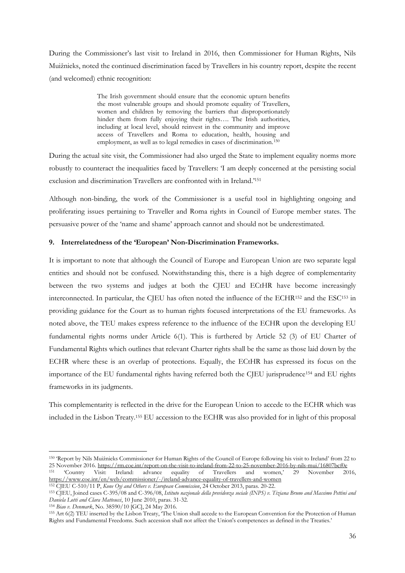During the Commissioner's last visit to Ireland in 2016, then Commissioner for Human Rights, Nils Muižnieks, noted the continued discrimination faced by Travellers in his country report, despite the recent (and welcomed) ethnic recognition:

> The Irish government should ensure that the economic upturn benefits the most vulnerable groups and should promote equality of Travellers, women and children by removing the barriers that disproportionately hinder them from fully enjoying their rights…. The Irish authorities, including at local level, should reinvest in the community and improve access of Travellers and Roma to education, health, housing and employment, as well as to legal remedies in cases of discrimination.<sup>150</sup>

During the actual site visit, the Commissioner had also urged the State to implement equality norms more robustly to counteract the inequalities faced by Travellers: 'I am deeply concerned at the persisting social exclusion and discrimination Travellers are confronted with in Ireland.'<sup>151</sup>

Although non-binding, the work of the Commissioner is a useful tool in highlighting ongoing and proliferating issues pertaining to Traveller and Roma rights in Council of Europe member states. The persuasive power of the 'name and shame' approach cannot and should not be underestimated.

# **9. Interrelatedness of the 'European' Non-Discrimination Frameworks.**

It is important to note that although the Council of Europe and European Union are two separate legal entities and should not be confused. Notwithstanding this, there is a high degree of complementarity between the two systems and judges at both the CJEU and ECtHR have become increasingly interconnected. In particular, the CJEU has often noted the influence of the ECHR<sup>152</sup> and the ESC<sup>153</sup> in providing guidance for the Court as to human rights focused interpretations of the EU frameworks. As noted above, the TEU makes express reference to the influence of the ECHR upon the developing EU fundamental rights norms under Article 6(1). This is furthered by Article 52 (3) of EU Charter of Fundamental Rights which outlines that relevant Charter rights shall be the same as those laid down by the ECHR where these is an overlap of protections. Equally, the ECtHR has expressed its focus on the importance of the EU fundamental rights having referred both the CJEU jurisprudence<sup>154</sup> and EU rights frameworks in its judgments.

This complementarity is reflected in the drive for the European Union to accede to the ECHR which was included in the Lisbon Treaty. <sup>155</sup> EU accession to the ECHR was also provided for in light of this proposal

<sup>154</sup> *Biao v. Denmark*, No. 38590/10 [GC], 24 May 2016.

<sup>150</sup> 'Report by Nils Muižnieks Commissioner for Human Rights of the Council of Europe following his visit to Ireland' from 22 to 25 November 2016. https://rm.coe.int/report-on-the-visit-to-ireland-from-22-to-25-november-2016-by-nils-mui/16807bcf0e <sup>151</sup> 'Country Visit: Ireland: advance equality of Travellers and women,' 29 November 2016, <https://www.coe.int/en/web/commissioner/-/ireland-advance-equality-of-travellers-and-women>

<sup>152</sup> CJEU C-510/11 P, *Kone Oyj and Others v. European Commission*, 24 October 2013, paras. 20-22. <sup>153</sup> CJEU, Joined cases C-395/08 and C-396/08, *Istituto nazionale della previdenza sociale (INPS) v. Tiziana Bruno and Massimo Pettini and Daniela Lotti and Clara Matteucci*, 10 June 2010, paras. 31-32.

<sup>155</sup> Art 6(2) TEU inserted by the Lisbon Treaty, 'The Union shall accede to the European Convention for the Protection of Human Rights and Fundamental Freedoms. Such accession shall not affect the Union's competences as defined in the Treaties.'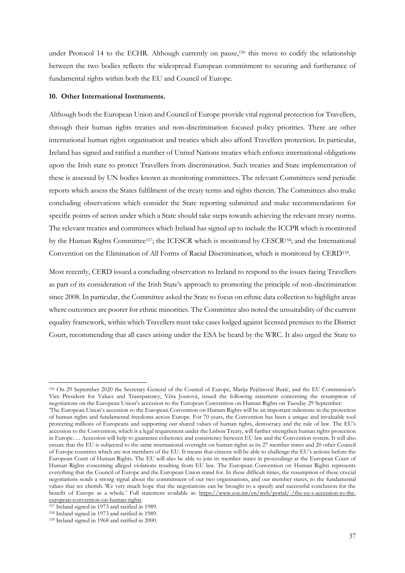under Protocol 14 to the ECHR. Although currently on pause,<sup>156</sup> this move to codify the relationship between the two bodies reflects the widespread European commitment to securing and furtherance of fundamental rights within both the EU and Council of Europe.

### **10. Other International Instruments.**

Although both the European Union and Council of Europe provide vital regional protection for Travellers, through their human rights treaties and non-discrimination focused policy priorities. There are other international human rights organisation and treaties which also afford Travellers protection. In particular, Ireland has signed and ratified a number of United Nations treaties which enforce international obligations upon the Irish state to protect Travellers from discrimination. Such treaties and State implementation of these is assessed by UN bodies known as monitoring committees. The relevant Committees send periodic reports which assess the States fulfilment of the treaty terms and rights therein. The Committees also make concluding observations which consider the State reporting submitted and make recommendations for specific points of action under which a State should take steps towards achieving the relevant treaty norms. The relevant treaties and committees which Ireland has signed up to include the ICCPR which is monitored by the Human Rights Committee157; the ICESCR which is monitored by CESCR158; and the International Convention on the Elimination of All Forms of Racial Discrimination, which is monitored by CERD<sup>159</sup> .

Most recently, CERD issued a concluding observation to Ireland to respond to the issues facing Travellers as part of its consideration of the Irish State's approach to promoting the principle of non-discrimination since 2008. In particular, the Committee asked the State to focus on ethnic data collection to highlight areas where outcomes are poorer for ethnic minorities. The Committee also noted the unsuitability of the current equality framework, within which Travellers must take cases lodged against licensed premises to the District Court, recommending that all cases arising under the ESA be heard by the WRC. It also urged the State to

<sup>156</sup> On 29 September 2020 the Secretary General of the Council of Europe, Marija Pejčinović Burić, and the EU Commission's Vice President for Values and Transparency, Věra Jourová, issued the following statement concerning the resumption of negotiations on the European Union's accession to the European Convention on Human Rights on Tuesday 29 September:

<sup>&#</sup>x27;The European Union's accession to the European Convention on Human Rights will be an important milestone in the protection of human rights and fundamental freedoms across Europe. For 70 years, the Convention has been a unique and invaluable tool protecting millions of Europeans and supporting our shared values of human rights, democracy and the rule of law. The EU's accession to the Convention, which is a legal requirement under the Lisbon Treaty, will further strengthen human rights protection in Europe…. Accession will help to guarantee coherence and consistency between EU law and the Convention system. It will also ensure that the EU is subjected to the same international oversight on human rights as its 27 member states and 20 other Council of Europe countries which are not members of the EU. It means that citizens will be able to challenge the EU's actions before the European Court of Human Rights. The EU will also be able to join its member states in proceedings at the European Court of Human Rights concerning alleged violations resulting from EU law. The European Convention on Human Rights represents everything that the Council of Europe and the European Union stand for. In these difficult times, the resumption of these crucial negotiations sends a strong signal about the commitment of our two organisations, and our member states, to the fundamental values that we cherish. We very much hope that the negotiations can be brought to a speedy and successful conclusion for the benefit of Europe as a whole.' Full statement available at: [https://www.coe.int/en/web/portal/-/the-eu-s-accession-to-the](https://www.coe.int/en/web/portal/-/the-eu-s-accession-to-the-european-convention-on-human-rights)[european-convention-on-human-rights](https://www.coe.int/en/web/portal/-/the-eu-s-accession-to-the-european-convention-on-human-rights)

<sup>157</sup> Ireland signed in 1973 and ratified in 1989.

<sup>158</sup> Ireland signed in 1973 and ratified in 1989.

<sup>159</sup> Ireland signed in 1968 and ratified in 2000.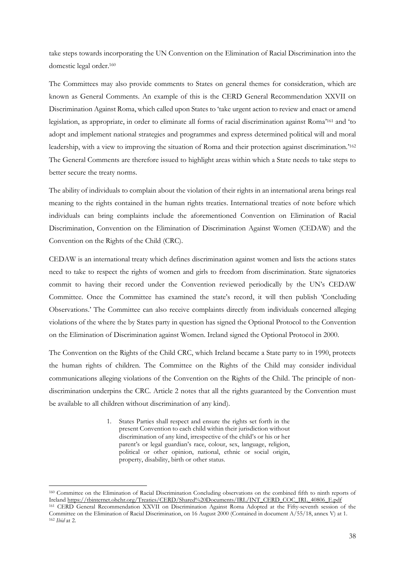take steps towards incorporating the UN Convention on the Elimination of Racial Discrimination into the domestic legal order.<sup>160</sup>

The Committees may also provide comments to States on general themes for consideration, which are known as General Comments. An example of this is the CERD General Recommendation XXVII on Discrimination Against Roma, which called upon States to 'take urgent action to review and enact or amend legislation, as appropriate, in order to eliminate all forms of racial discrimination against Roma' <sup>161</sup> and 'to adopt and implement national strategies and programmes and express determined political will and moral leadership, with a view to improving the situation of Roma and their protection against discrimination.<sup>2162</sup> The General Comments are therefore issued to highlight areas within which a State needs to take steps to better secure the treaty norms.

The ability of individuals to complain about the violation of their rights in an international arena brings real meaning to the rights contained in the human rights treaties. International treaties of note before which individuals can bring complaints include the aforementioned Convention on Elimination of Racial Discrimination, Convention on the Elimination of Discrimination Against Women (CEDAW) and the Convention on the Rights of the Child (CRC).

CEDAW is an international treaty which defines discrimination against women and lists the actions states need to take to respect the rights of women and girls to freedom from discrimination. State signatories commit to having their record under the Convention reviewed periodically by the UN's CEDAW Committee. Once the Committee has examined the state's record, it will then publish 'Concluding Observations.' The Committee can also receive complaints directly from individuals concerned alleging violations of the where the by States party in question has signed the Optional Protocol to the Convention on the Elimination of Discrimination against Women. Ireland signed the Optional Protocol in 2000.

The Convention on the Rights of the Child CRC, which Ireland became a State party to in 1990, protects the human rights of children. The Committee on the Rights of the Child may consider individual communications alleging violations of the Convention on the Rights of the Child. The principle of nondiscrimination underpins the CRC. Article 2 notes that all the rights guaranteed by the Convention must be available to all children without discrimination of any kind).

> 1. States Parties shall respect and ensure the rights set forth in the present Convention to each child within their jurisdiction without discrimination of any kind, irrespective of the child's or his or her parent's or legal guardian's race, colour, sex, language, religion, political or other opinion, national, ethnic or social origin, property, disability, birth or other status.

<sup>160</sup> Committee on the Elimination of Racial Discrimination Concluding observations on the combined fifth to ninth reports of Ireland [https://tbinternet.ohchr.org/Treaties/CERD/Shared%20Documents/IRL/INT\\_CERD\\_COC\\_IRL\\_40806\\_E.pdf](https://tbinternet.ohchr.org/Treaties/CERD/Shared%20Documents/IRL/INT_CERD_COC_IRL_40806_E.pdf)

<sup>161</sup> CERD General Recommendation XXVII on Discrimination Against Roma Adopted at the Fifty-seventh session of the Committee on the Elimination of Racial Discrimination, on 16 August 2000 (Contained in document A/55/18, annex V) at 1. <sup>162</sup> *Ibid* at 2.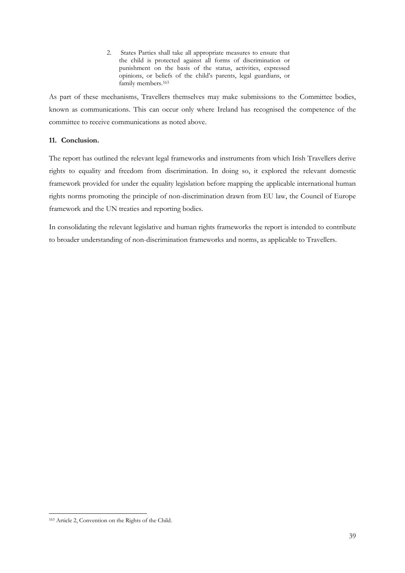2. States Parties shall take all appropriate measures to ensure that the child is protected against all forms of discrimination or punishment on the basis of the status, activities, expressed opinions, or beliefs of the child's parents, legal guardians, or family members.<sup>163</sup>

As part of these mechanisms, Travellers themselves may make submissions to the Committee bodies, known as communications. This can occur only where Ireland has recognised the competence of the committee to receive communications as noted above.

# **11. Conclusion.**

The report has outlined the relevant legal frameworks and instruments from which Irish Travellers derive rights to equality and freedom from discrimination. In doing so, it explored the relevant domestic framework provided for under the equality legislation before mapping the applicable international human rights norms promoting the principle of non-discrimination drawn from EU law, the Council of Europe framework and the UN treaties and reporting bodies.

In consolidating the relevant legislative and human rights frameworks the report is intended to contribute to broader understanding of non-discrimination frameworks and norms, as applicable to Travellers.

<sup>163</sup> Article 2, Convention on the Rights of the Child.